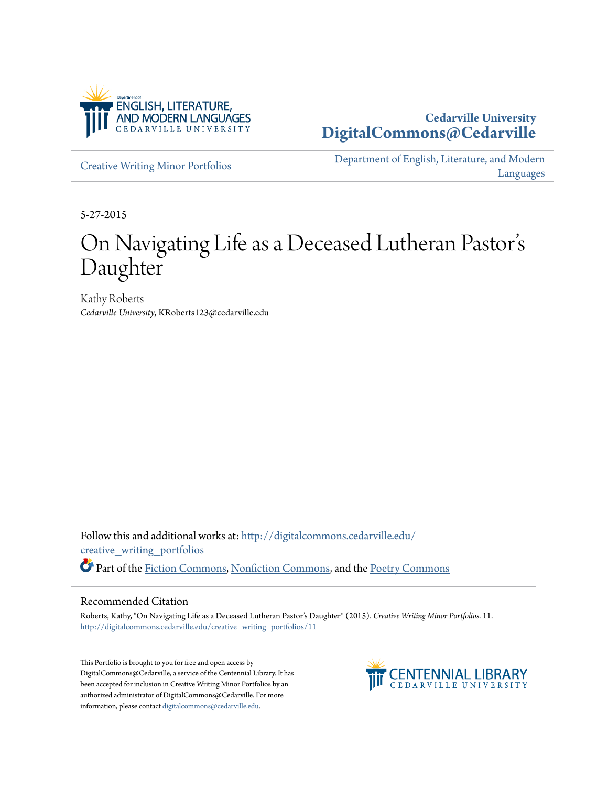

# **Cedarville University [DigitalCommons@Cedarville](http://digitalcommons.cedarville.edu?utm_source=digitalcommons.cedarville.edu%2Fcreative_writing_portfolios%2F11&utm_medium=PDF&utm_campaign=PDFCoverPages)**

[Creative Writing Minor Portfolios](http://digitalcommons.cedarville.edu/creative_writing_portfolios?utm_source=digitalcommons.cedarville.edu%2Fcreative_writing_portfolios%2F11&utm_medium=PDF&utm_campaign=PDFCoverPages)

[Department of English, Literature, and Modern](http://digitalcommons.cedarville.edu/english_literature_modern_languages?utm_source=digitalcommons.cedarville.edu%2Fcreative_writing_portfolios%2F11&utm_medium=PDF&utm_campaign=PDFCoverPages) [Languages](http://digitalcommons.cedarville.edu/english_literature_modern_languages?utm_source=digitalcommons.cedarville.edu%2Fcreative_writing_portfolios%2F11&utm_medium=PDF&utm_campaign=PDFCoverPages)

5-27-2015

# On Navigating Life as a Deceased Lutheran Pastor s י<br>' Daughter

Kathy Roberts *Cedarville University*, KRoberts123@cedarville.edu

Follow this and additional works at: [http://digitalcommons.cedarville.edu/](http://digitalcommons.cedarville.edu/creative_writing_portfolios?utm_source=digitalcommons.cedarville.edu%2Fcreative_writing_portfolios%2F11&utm_medium=PDF&utm_campaign=PDFCoverPages) [creative\\_writing\\_portfolios](http://digitalcommons.cedarville.edu/creative_writing_portfolios?utm_source=digitalcommons.cedarville.edu%2Fcreative_writing_portfolios%2F11&utm_medium=PDF&utm_campaign=PDFCoverPages) Part of the [Fiction Commons](http://network.bepress.com/hgg/discipline/1151?utm_source=digitalcommons.cedarville.edu%2Fcreative_writing_portfolios%2F11&utm_medium=PDF&utm_campaign=PDFCoverPages), [Nonfiction Commons](http://network.bepress.com/hgg/discipline/1152?utm_source=digitalcommons.cedarville.edu%2Fcreative_writing_portfolios%2F11&utm_medium=PDF&utm_campaign=PDFCoverPages), and the [Poetry Commons](http://network.bepress.com/hgg/discipline/1153?utm_source=digitalcommons.cedarville.edu%2Fcreative_writing_portfolios%2F11&utm_medium=PDF&utm_campaign=PDFCoverPages)

## Recommended Citation

Roberts, Kathy, "On Navigating Life as a Deceased Lutheran Pastor's Daughter" (2015). *Creative Writing Minor Portfolios*. 11. [http://digitalcommons.cedarville.edu/creative\\_writing\\_portfolios/11](http://digitalcommons.cedarville.edu/creative_writing_portfolios/11?utm_source=digitalcommons.cedarville.edu%2Fcreative_writing_portfolios%2F11&utm_medium=PDF&utm_campaign=PDFCoverPages)

This Portfolio is brought to you for free and open access by DigitalCommons@Cedarville, a service of the Centennial Library. It has been accepted for inclusion in Creative Writing Minor Portfolios by an authorized administrator of DigitalCommons@Cedarville. For more information, please contact [digitalcommons@cedarville.edu.](mailto:digitalcommons@cedarville.edu)

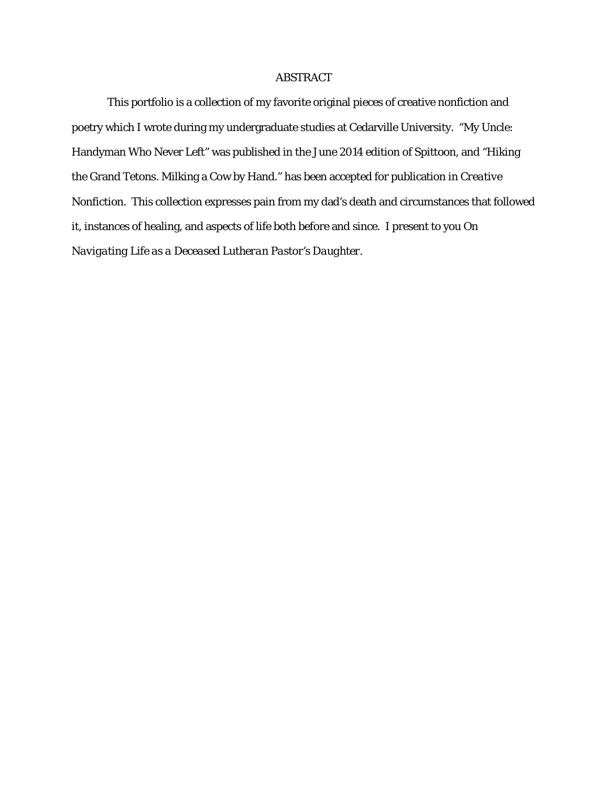# ABSTRACT

This portfolio is a collection of my favorite original pieces of creative nonfiction and poetry which I wrote during my undergraduate studies at Cedarville University. "My Uncle: Handyman Who Never Left" was published in the June 2014 edition of *Spittoon*, and "Hiking the Grand Tetons. Milking a Cow by Hand." has been accepted for publication in *Creative Nonfiction*. This collection expresses pain from my dad's death and circumstances that followed it, instances of healing, and aspects of life both before and since. I present to you *On Navigating Life as a Deceased Lutheran Pastor's Daughter*.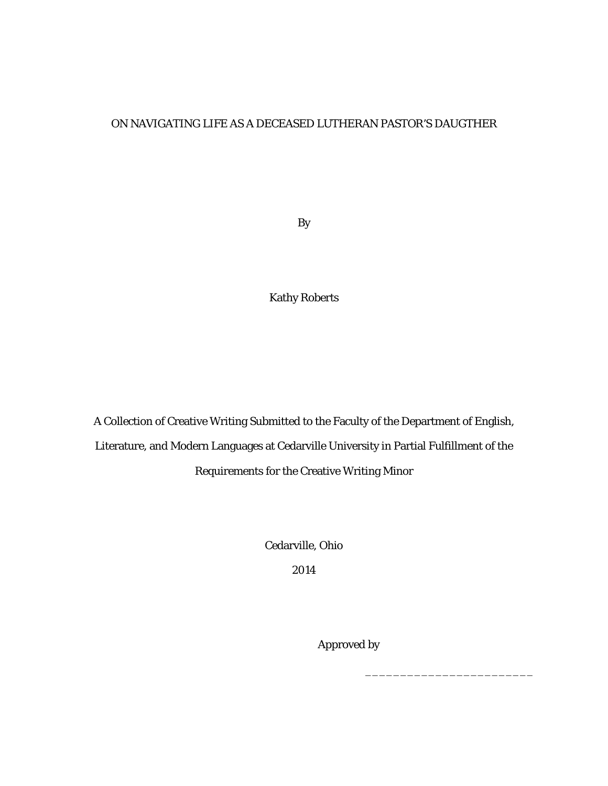# ON NAVIGATING LIFE AS A DECEASED LUTHERAN PASTOR'S DAUGTHER

By

Kathy Roberts

A Collection of Creative Writing Submitted to the Faculty of the Department of English, Literature, and Modern Languages at Cedarville University in Partial Fulfillment of the Requirements for the Creative Writing Minor

Cedarville, Ohio

2014

 $\frac{1}{\sqrt{2}}$  ,  $\frac{1}{\sqrt{2}}$  ,  $\frac{1}{\sqrt{2}}$  ,  $\frac{1}{\sqrt{2}}$  ,  $\frac{1}{\sqrt{2}}$  ,  $\frac{1}{\sqrt{2}}$  ,  $\frac{1}{\sqrt{2}}$  ,  $\frac{1}{\sqrt{2}}$  ,  $\frac{1}{\sqrt{2}}$  ,  $\frac{1}{\sqrt{2}}$  ,  $\frac{1}{\sqrt{2}}$  ,  $\frac{1}{\sqrt{2}}$  ,  $\frac{1}{\sqrt{2}}$  ,  $\frac{1}{\sqrt{2}}$  ,  $\frac{1}{\sqrt{2}}$ 

Approved by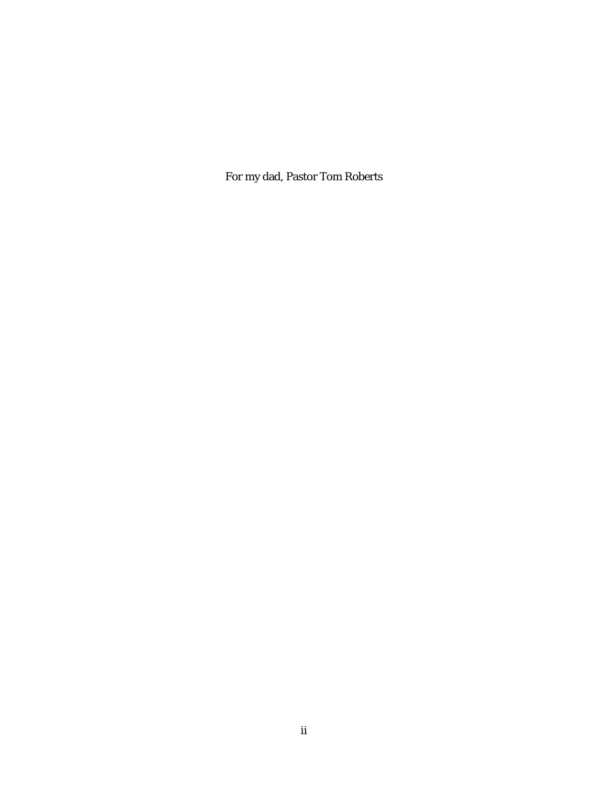For my dad, Pastor Tom Roberts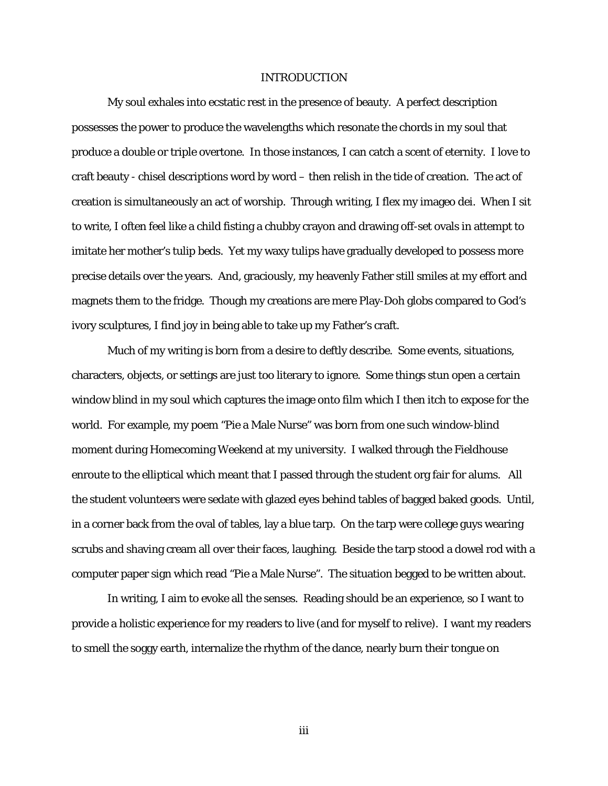### INTRODUCTION

My soul exhales into ecstatic rest in the presence of beauty. A perfect description possesses the power to produce the wavelengths which resonate the chords in my soul that produce a double or triple overtone. In those instances, I can catch a scent of eternity. I love to craft beauty - chisel descriptions word by word – then relish in the tide of creation. The act of creation is simultaneously an act of worship. Through writing, I flex my imageo dei. When I sit to write, I often feel like a child fisting a chubby crayon and drawing off-set ovals in attempt to imitate her mother's tulip beds. Yet my waxy tulips have gradually developed to possess more precise details over the years. And, graciously, my heavenly Father still smiles at my effort and magnets them to the fridge. Though my creations are mere Play-Doh globs compared to God's ivory sculptures, I find joy in being able to take up my Father's craft.

Much of my writing is born from a desire to deftly describe. Some events, situations, characters, objects, or settings are just too literary to ignore. Some things stun open a certain window blind in my soul which captures the image onto film which I then itch to expose for the world. For example, my poem "Pie a Male Nurse" was born from one such window-blind moment during Homecoming Weekend at my university. I walked through the Fieldhouse enroute to the elliptical which meant that I passed through the student org fair for alums. All the student volunteers were sedate with glazed eyes behind tables of bagged baked goods. Until, in a corner back from the oval of tables, lay a blue tarp. On the tarp were college guys wearing scrubs and shaving cream all over their faces, laughing. Beside the tarp stood a dowel rod with a computer paper sign which read "Pie a Male Nurse". The situation begged to be written about.

In writing, I aim to evoke all the senses. Reading should be an experience, so I want to provide a holistic experience for my readers to live (and for myself to relive). I want my readers to smell the soggy earth, internalize the rhythm of the dance, nearly burn their tongue on

iii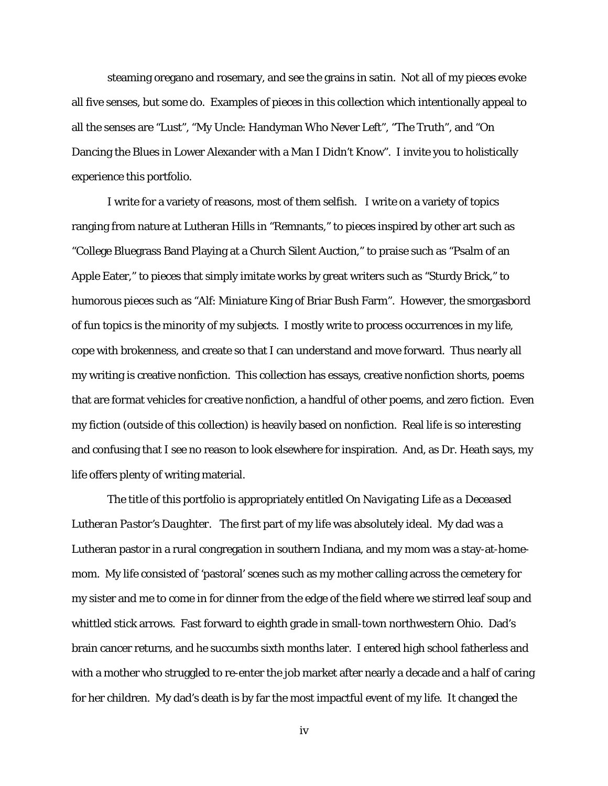steaming oregano and rosemary, and see the grains in satin. Not all of my pieces evoke all five senses, but some do. Examples of pieces in this collection which intentionally appeal to all the senses are "Lust", "My Uncle: Handyman Who Never Left", "The Truth", and "On Dancing the Blues in Lower Alexander with a Man I Didn't Know". I invite you to holistically experience this portfolio.

I write for a variety of reasons, most of them selfish. I write on a variety of topics ranging from nature at Lutheran Hills in "Remnants," to pieces inspired by other art such as "College Bluegrass Band Playing at a Church Silent Auction," to praise such as "Psalm of an Apple Eater," to pieces that simply imitate works by great writers such as "Sturdy Brick," to humorous pieces such as "Alf: Miniature King of Briar Bush Farm". However, the smorgasbord of fun topics is the minority of my subjects. I mostly write to process occurrences in my life, cope with brokenness, and create so that I can understand and move forward. Thus nearly all my writing is creative nonfiction. This collection has essays, creative nonfiction shorts, poems that are format vehicles for creative nonfiction, a handful of other poems, and zero fiction. Even my fiction (outside of this collection) is heavily based on nonfiction. Real life is so interesting and confusing that I see no reason to look elsewhere for inspiration. And, as Dr. Heath says, my life offers plenty of writing material.

The title of this portfolio is appropriately entitled *On Navigating Life as a Deceased Lutheran Pastor's Daughter*. The first part of my life was absolutely ideal. My dad was a Lutheran pastor in a rural congregation in southern Indiana, and my mom was a stay-at-homemom. My life consisted of 'pastoral' scenes such as my mother calling across the cemetery for my sister and me to come in for dinner from the edge of the field where we stirred leaf soup and whittled stick arrows. Fast forward to eighth grade in small-town northwestern Ohio. Dad's brain cancer returns, and he succumbs sixth months later. I entered high school fatherless and with a mother who struggled to re-enter the job market after nearly a decade and a half of caring for her children. My dad's death is by far the most impactful event of my life. It changed the

iv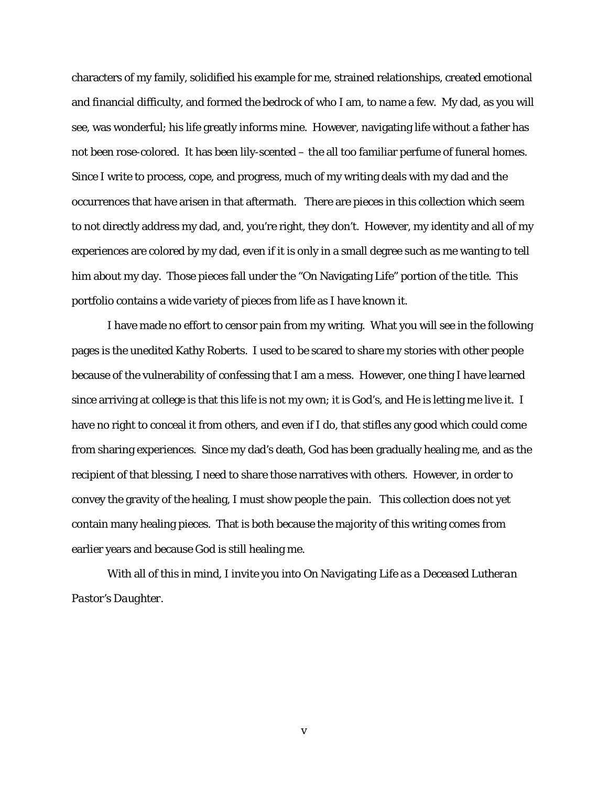characters of my family, solidified his example for me, strained relationships, created emotional and financial difficulty, and formed the bedrock of who I am, to name a few. My dad, as you will see, was wonderful; his life greatly informs mine. However, navigating life without a father has not been rose-colored. It has been lily-scented – the all too familiar perfume of funeral homes. Since I write to process, cope, and progress, much of my writing deals with my dad and the occurrences that have arisen in that aftermath. There are pieces in this collection which seem to not directly address my dad, and, you're right, they don't. However, my identity and all of my experiences are colored by my dad, even if it is only in a small degree such as me wanting to tell him about my day. Those pieces fall under the "On Navigating Life" portion of the title. This portfolio contains a wide variety of pieces from life as I have known it.

I have made no effort to censor pain from my writing. What you will see in the following pages is the unedited Kathy Roberts. I used to be scared to share my stories with other people because of the vulnerability of confessing that I am a mess. However, one thing I have learned since arriving at college is that this life is not my own; it is God's, and He is letting me live it. I have no right to conceal it from others, and even if I do, that stifles any good which could come from sharing experiences. Since my dad's death, God has been gradually healing me, and as the recipient of that blessing, I need to share those narratives with others. However, in order to convey the gravity of the healing, I must show people the pain. This collection does not yet contain many healing pieces. That is both because the majority of this writing comes from earlier years and because God is still healing me.

With all of this in mind, I invite you into *On Navigating Life as a Deceased Lutheran Pastor's Daughter*.

v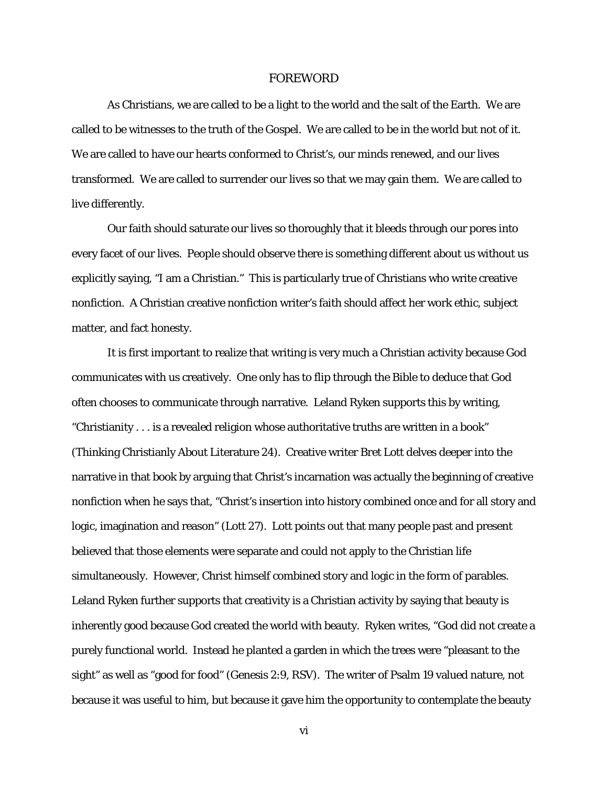### FOREWORD

As Christians, we are called to be a light to the world and the salt of the Earth. We are called to be witnesses to the truth of the Gospel. We are called to be in the world but not of it. We are called to have our hearts conformed to Christ's, our minds renewed, and our lives transformed. We are called to surrender our lives so that we may gain them. We are called to live differently.

Our faith should saturate our lives so thoroughly that it bleeds through our pores into every facet of our lives. People should observe there is something different about us without us explicitly saying, "I am a Christian." This is particularly true of Christians who write creative nonfiction. A Christian creative nonfiction writer's faith should affect her work ethic, subject matter, and fact honesty.

It is first important to realize that writing is very much a Christian activity because God communicates with us creatively. One only has to flip through the Bible to deduce that God often chooses to communicate through narrative. Leland Ryken supports this by writing, "Christianity . . . is a revealed religion whose authoritative truths are written in a book" (Thinking Christianly About Literature 24). Creative writer Bret Lott delves deeper into the narrative in that book by arguing that Christ's incarnation was actually the beginning of creative nonfiction when he says that, "Christ's insertion into history combined once and for all story and logic, imagination and reason" (Lott 27). Lott points out that many people past and present believed that those elements were separate and could not apply to the Christian life simultaneously. However, Christ himself combined story and logic in the form of parables. Leland Ryken further supports that creativity is a Christian activity by saying that beauty is inherently good because God created the world with beauty. Ryken writes, "God did not create a purely functional world. Instead he planted a garden in which the trees were "pleasant to the sight" as well as "good for food" (Genesis 2:9, RSV). The writer of Psalm 19 valued nature, not because it was useful to him, but because it gave him the opportunity to contemplate the beauty

vi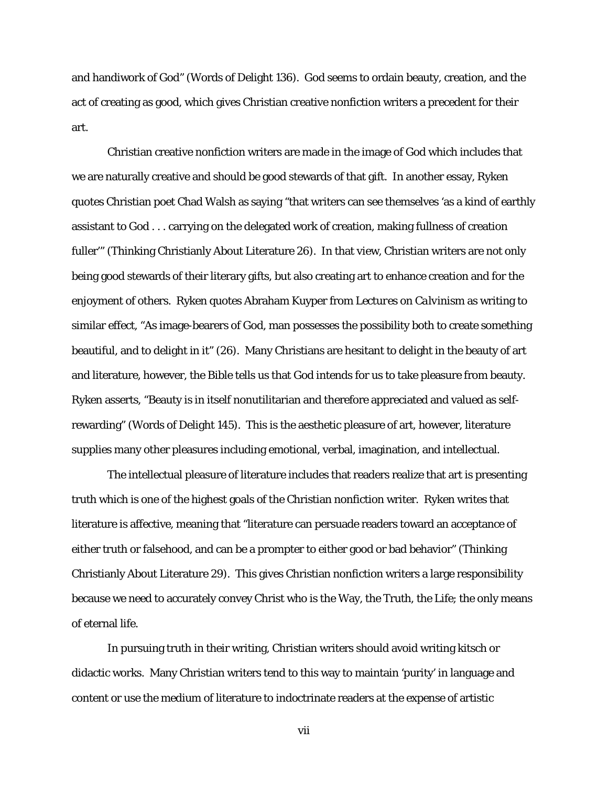and handiwork of God" (Words of Delight 136). God seems to ordain beauty, creation, and the act of creating as good, which gives Christian creative nonfiction writers a precedent for their art.

Christian creative nonfiction writers are made in the image of God which includes that we are naturally creative and should be good stewards of that gift. In another essay, Ryken quotes Christian poet Chad Walsh as saying "that writers can see themselves 'as a kind of earthly assistant to God . . . carrying on the delegated work of creation, making fullness of creation fuller'" (Thinking Christianly About Literature 26). In that view, Christian writers are not only being good stewards of their literary gifts, but also creating art to enhance creation and for the enjoyment of others. Ryken quotes Abraham Kuyper from *Lectures on Calvinism* as writing to similar effect, "As image-bearers of God, man possesses the possibility both to create something beautiful, and to delight in it" (26).Many Christians are hesitant to delight in the beauty of art and literature, however, the Bible tells us that God intends for us to take pleasure from beauty. Ryken asserts, "Beauty is in itself nonutilitarian and therefore appreciated and valued as selfrewarding" (Words of Delight 145). This is the aesthetic pleasure of art, however, literature supplies many other pleasures including emotional, verbal, imagination, and intellectual.

The intellectual pleasure of literature includes that readers realize that art is presenting truth which is one of the highest goals of the Christian nonfiction writer. Ryken writes that literature is affective, meaning that "literature can persuade readers toward an acceptance of either truth or falsehood, and can be a prompter to either good or bad behavior" (Thinking Christianly About Literature 29). This gives Christian nonfiction writers a large responsibility because we need to accurately convey Christ who is the Way, the Truth, the Life; the only means of eternal life.

In pursuing truth in their writing, Christian writers should avoid writing kitsch or didactic works. Many Christian writers tend to this way to maintain 'purity' in language and content or use the medium of literature to indoctrinate readers at the expense of artistic

vii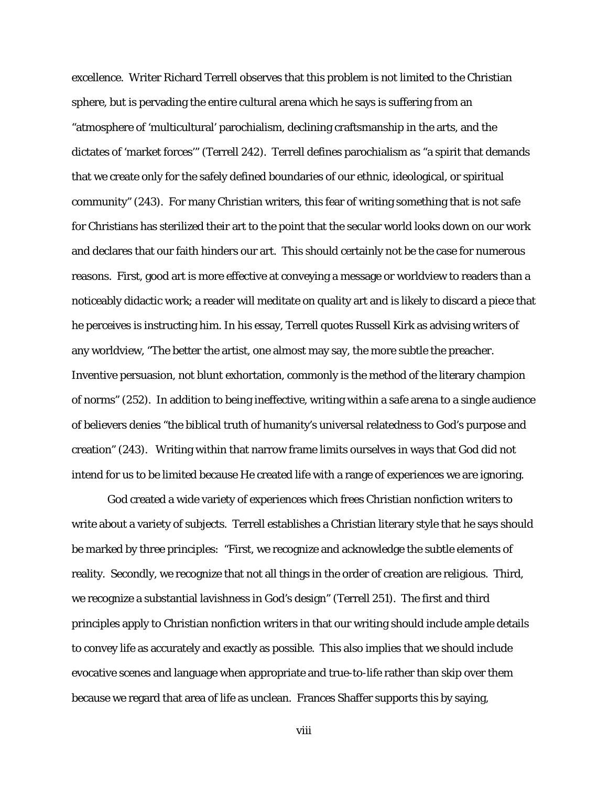excellence. Writer Richard Terrell observes that this problem is not limited to the Christian sphere, but is pervading the entire cultural arena which he says is suffering from an "atmosphere of 'multicultural' parochialism, declining craftsmanship in the arts, and the dictates of 'market forces'" (Terrell 242). Terrell defines parochialism as "a spirit that demands that we create only for the safely defined boundaries of our ethnic, ideological, or spiritual community" (243). For many Christian writers, this fear of writing something that is not safe for Christians has sterilized their art to the point that the secular world looks down on our work and declares that our faith hinders our art. This should certainly not be the case for numerous reasons. First, good art is more effective at conveying a message or worldview to readers than a noticeably didactic work; a reader will meditate on quality art and is likely to discard a piece that he perceives is instructing him. In his essay, Terrell quotes Russell Kirk as advising writers of any worldview, "The better the artist, one almost may say, the more subtle the preacher. Inventive persuasion, not blunt exhortation, commonly is the method of the literary champion of norms" (252). In addition to being ineffective, writing within a safe arena to a single audience of believers denies "the biblical truth of humanity's universal relatedness to God's purpose and creation" (243). Writing within that narrow frame limits ourselves in ways that God did not intend for us to be limited because He created life with a range of experiences we are ignoring.

God created a wide variety of experiences which frees Christian nonfiction writers to write about a variety of subjects. Terrell establishes a Christian literary style that he says should be marked by three principles: "First, we recognize and acknowledge the subtle elements of reality. Secondly, we recognize that not all things in the order of creation are religious. Third, we recognize a substantial lavishness in God's design" (Terrell 251). The first and third principles apply to Christian nonfiction writers in that our writing should include ample details to convey life as accurately and exactly as possible. This also implies that we should include evocative scenes and language when appropriate and true-to-life rather than skip over them because we regard that area of life as unclean. Frances Shaffer supports this by saying,

viii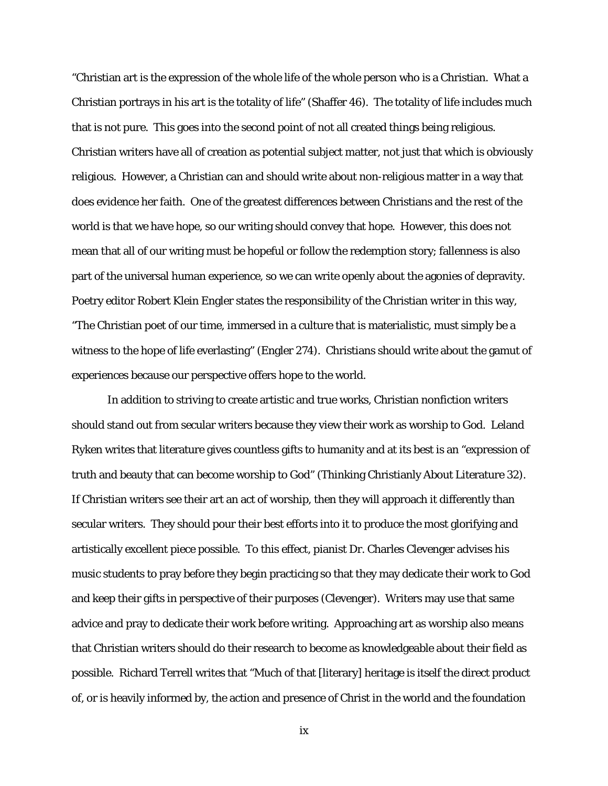"Christian art is the expression of the whole life of the whole person who is a Christian. What a Christian portrays in his art is the totality of life" (Shaffer 46). The totality of life includes much that is not pure. This goes into the second point of not all created things being religious. Christian writers have all of creation as potential subject matter, not just that which is obviously religious. However, a Christian can and should write about non-religious matter in a way that does evidence her faith. One of the greatest differences between Christians and the rest of the world is that we have hope, so our writing should convey that hope. However, this does not mean that all of our writing must be hopeful or follow the redemption story; fallenness is also part of the universal human experience, so we can write openly about the agonies of depravity. Poetry editor Robert Klein Engler states the responsibility of the Christian writer in this way, "The Christian poet of our time, immersed in a culture that is materialistic, must simply be a witness to the hope of life everlasting" (Engler 274). Christians should write about the gamut of experiences because our perspective offers hope to the world.

In addition to striving to create artistic and true works, Christian nonfiction writers should stand out from secular writers because they view their work as worship to God. Leland Ryken writes that literature gives countless gifts to humanity and at its best is an "expression of truth and beauty that can become worship to God" (Thinking Christianly About Literature 32). If Christian writers see their art an act of worship, then they will approach it differently than secular writers. They should pour their best efforts into it to produce the most glorifying and artistically excellent piece possible. To this effect, pianist Dr. Charles Clevenger advises his music students to pray before they begin practicing so that they may dedicate their work to God and keep their gifts in perspective of their purposes (Clevenger). Writers may use that same advice and pray to dedicate their work before writing. Approaching art as worship also means that Christian writers should do their research to become as knowledgeable about their field as possible. Richard Terrell writes that "Much of that [literary] heritage is itself the direct product of, or is heavily informed by, the action and presence of Christ in the world and the foundation

ix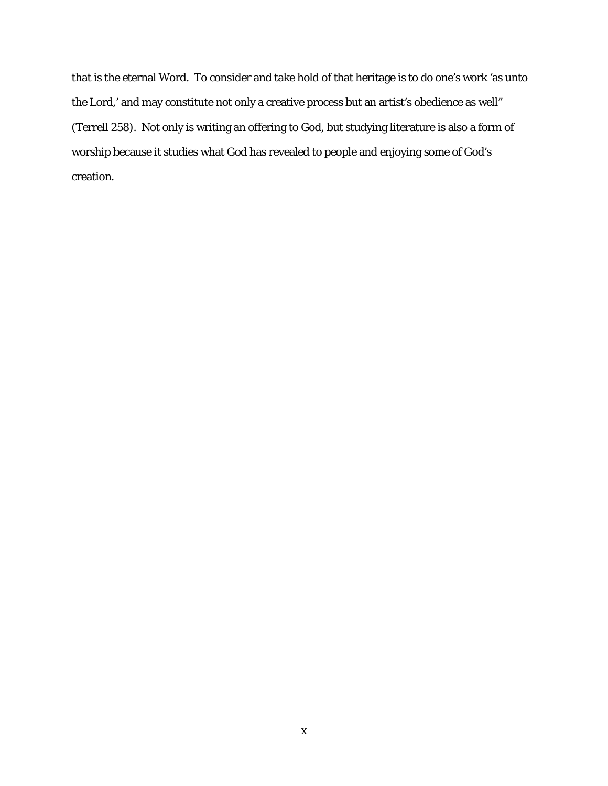that is the eternal Word. To consider and take hold of that heritage is to do one's work 'as unto the Lord,' and may constitute not only a creative process but an artist's obedience as well" (Terrell 258). Not only is writing an offering to God, but studying literature is also a form of worship because it studies what God has revealed to people and enjoying some of God's creation.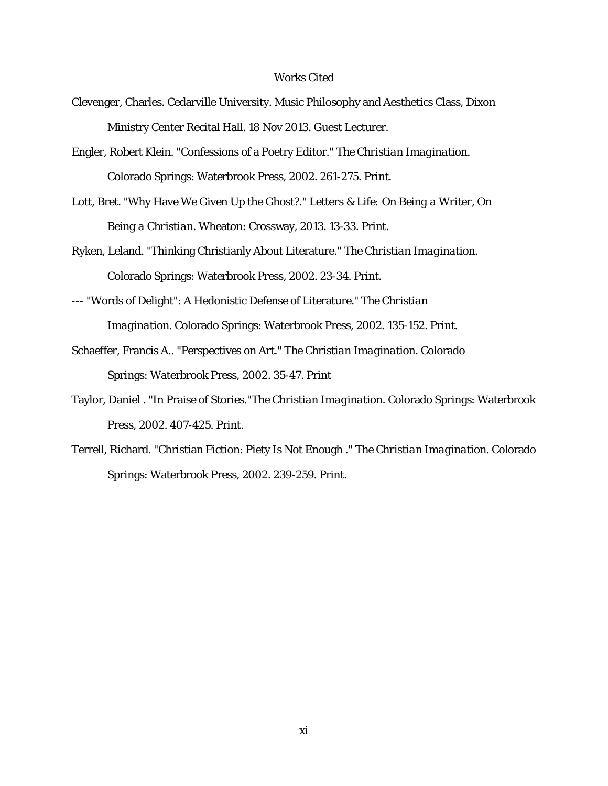### Works Cited

- Clevenger, Charles. Cedarville University. Music Philosophy and Aesthetics Class, Dixon Ministry Center Recital Hall. 18 Nov 2013. Guest Lecturer.
- Engler, Robert Klein. "Confessions of a Poetry Editor." *The Christian Imagination*. Colorado Springs: Waterbrook Press, 2002. 261-275. Print.
- Lott, Bret. "Why Have We Given Up the Ghost?." *Letters & Life: On Being a Writer, On Being a Christian*. Wheaton: Crossway, 2013. 13-33. Print.
- Ryken, Leland. "Thinking Christianly About Literature." *The Christian Imagination*. Colorado Springs: Waterbrook Press, 2002. 23-34. Print.
- --- "Words of Delight": A Hedonistic Defense of Literature." *The Christian Imagination*. Colorado Springs: Waterbrook Press, 2002. 135-152. Print.
- Schaeffer, Francis A.. "Perspectives on Art." *The Christian Imagination*. Colorado Springs: Waterbrook Press, 2002. 35-47. Print
- Taylor, Daniel . "In Praise of Stories."*The Christian Imagination*. Colorado Springs: Waterbrook Press, 2002. 407-425. Print.
- Terrell, Richard. "Christian Fiction: Piety Is Not Enough ." *The Christian Imagination*. Colorado Springs: Waterbrook Press, 2002. 239-259. Print.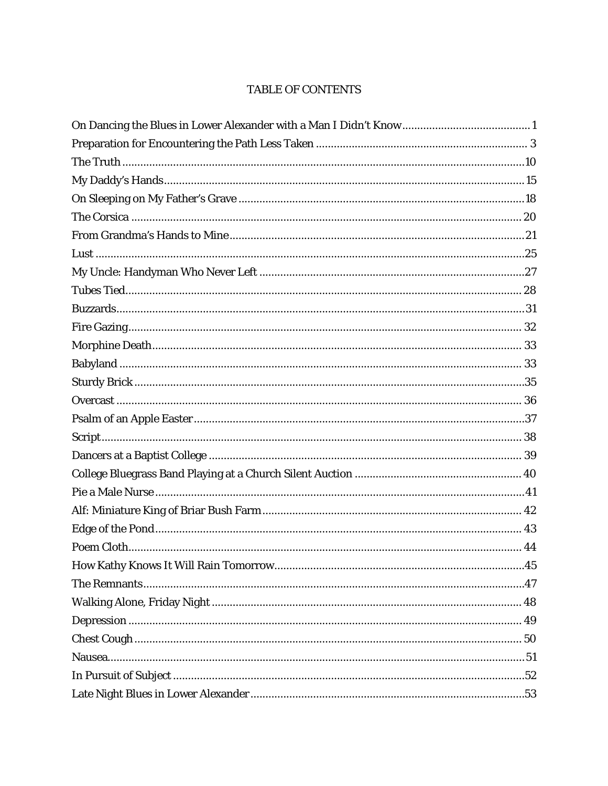# TABLE OF CONTENTS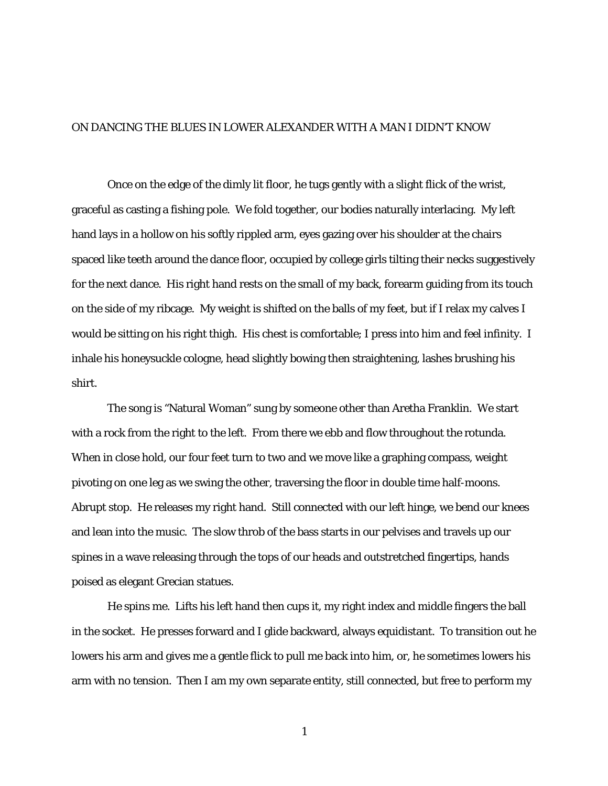## ON DANCING THE BLUES IN LOWER ALEXANDER WITH A MAN I DIDN'T KNOW

Once on the edge of the dimly lit floor, he tugs gently with a slight flick of the wrist, graceful as casting a fishing pole. We fold together, our bodies naturally interlacing. My left hand lays in a hollow on his softly rippled arm, eyes gazing over his shoulder at the chairs spaced like teeth around the dance floor, occupied by college girls tilting their necks suggestively for the next dance. His right hand rests on the small of my back, forearm guiding from its touch on the side of my ribcage. My weight is shifted on the balls of my feet, but if I relax my calves I would be sitting on his right thigh. His chest is comfortable; I press into him and feel infinity. I inhale his honeysuckle cologne, head slightly bowing then straightening, lashes brushing his shirt.

The song is "Natural Woman" sung by someone other than Aretha Franklin. We start with a rock from the right to the left. From there we ebb and flow throughout the rotunda. When in close hold, our four feet turn to two and we move like a graphing compass, weight pivoting on one leg as we swing the other, traversing the floor in double time half-moons. Abrupt stop. He releases my right hand. Still connected with our left hinge, we bend our knees and lean into the music. The slow throb of the bass starts in our pelvises and travels up our spines in a wave releasing through the tops of our heads and outstretched fingertips, hands poised as elegant Grecian statues.

He spins me. Lifts his left hand then cups it, my right index and middle fingers the ball in the socket. He presses forward and I glide backward, always equidistant. To transition out he lowers his arm and gives me a gentle flick to pull me back into him, or, he sometimes lowers his arm with no tension. Then I am my own separate entity, still connected, but free to perform my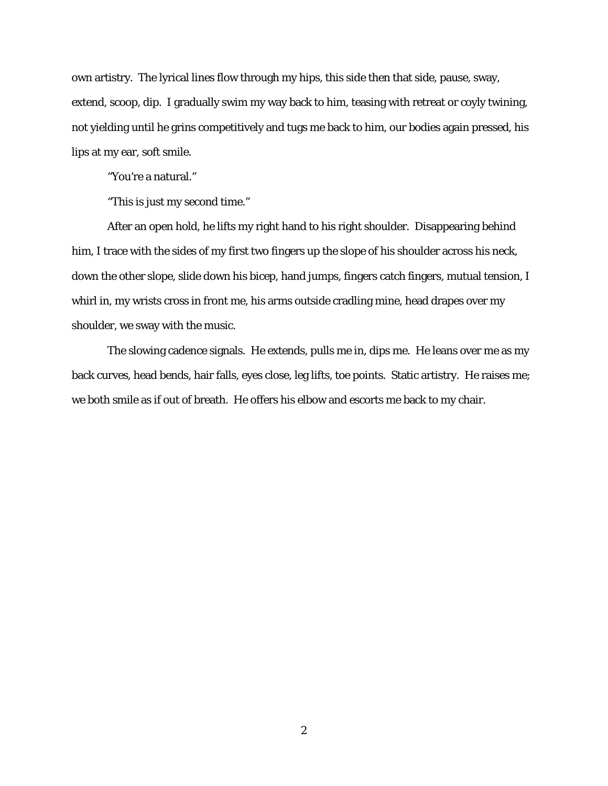own artistry. The lyrical lines flow through my hips, this side then that side, pause, sway, extend, scoop, dip. I gradually swim my way back to him, teasing with retreat or coyly twining, not yielding until he grins competitively and tugs me back to him, our bodies again pressed, his lips at my ear, soft smile.

"You're a natural."

"This is just my second time."

After an open hold, he lifts my right hand to his right shoulder. Disappearing behind him, I trace with the sides of my first two fingers up the slope of his shoulder across his neck, down the other slope, slide down his bicep, hand jumps, fingers catch fingers, mutual tension, I whirl in, my wrists cross in front me, his arms outside cradling mine, head drapes over my shoulder, we sway with the music.

The slowing cadence signals. He extends, pulls me in, dips me. He leans over me as my back curves, head bends, hair falls, eyes close, leg lifts, toe points. Static artistry. He raises me; we both smile as if out of breath. He offers his elbow and escorts me back to my chair.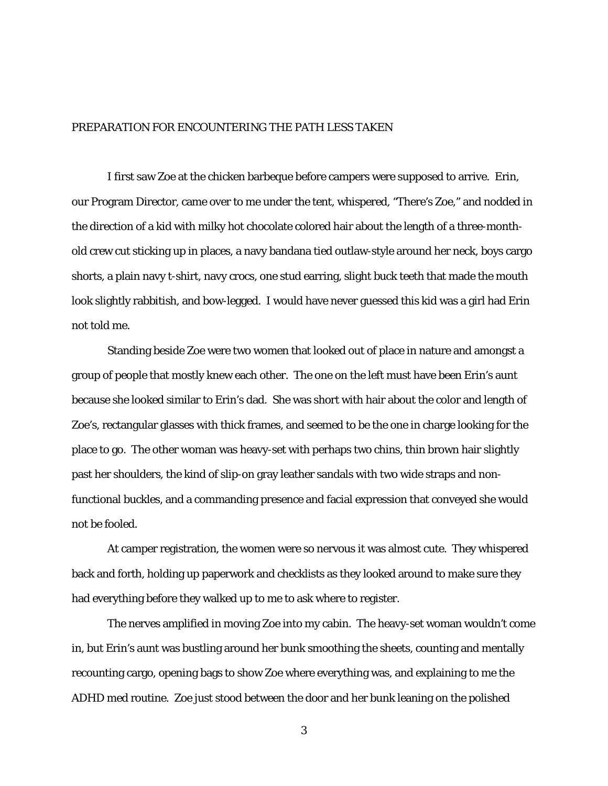### PREPARATION FOR ENCOUNTERING THE PATH LESS TAKEN

I first saw Zoe at the chicken barbeque before campers were supposed to arrive. Erin, our Program Director, came over to me under the tent, whispered, "There's Zoe," and nodded in the direction of a kid with milky hot chocolate colored hair about the length of a three-monthold crew cut sticking up in places, a navy bandana tied outlaw-style around her neck, boys cargo shorts, a plain navy t-shirt, navy crocs, one stud earring, slight buck teeth that made the mouth look slightly rabbitish, and bow-legged. I would have never guessed this kid was a girl had Erin not told me.

Standing beside Zoe were two women that looked out of place in nature and amongst a group of people that mostly knew each other. The one on the left must have been Erin's aunt because she looked similar to Erin's dad. She was short with hair about the color and length of Zoe's, rectangular glasses with thick frames, and seemed to be the one in charge looking for the place to go. The other woman was heavy-set with perhaps two chins, thin brown hair slightly past her shoulders, the kind of slip-on gray leather sandals with two wide straps and nonfunctional buckles, and a commanding presence and facial expression that conveyed she would not be fooled.

At camper registration, the women were so nervous it was almost cute. They whispered back and forth, holding up paperwork and checklists as they looked around to make sure they had everything before they walked up to me to ask where to register.

The nerves amplified in moving Zoe into my cabin. The heavy-set woman wouldn't come in, but Erin's aunt was bustling around her bunk smoothing the sheets, counting and mentally recounting cargo, opening bags to show Zoe where everything was, and explaining to me the ADHD med routine. Zoe just stood between the door and her bunk leaning on the polished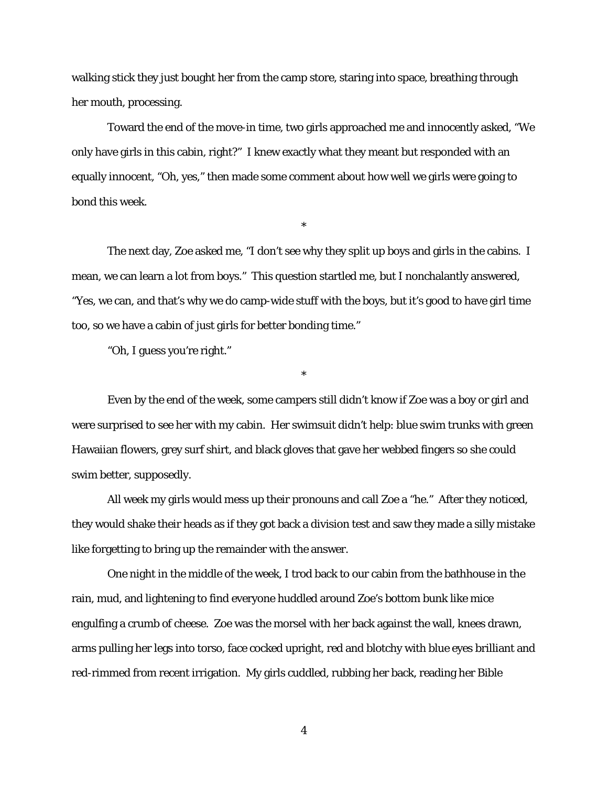walking stick they just bought her from the camp store, staring into space, breathing through her mouth, processing.

Toward the end of the move-in time, two girls approached me and innocently asked, "We only have girls in this cabin, right?" I knew exactly what they meant but responded with an equally innocent, "Oh, yes," then made some comment about how well we girls were going to bond this week.

\*

The next day, Zoe asked me, "I don't see why they split up boys and girls in the cabins. I mean, we can learn a lot from boys." This question startled me, but I nonchalantly answered, "Yes, we can, and that's why we do camp-wide stuff with the boys, but it's good to have girl time too, so we have a cabin of just girls for better bonding time."

"Oh, I guess you're right."

Even by the end of the week, some campers still didn't know if Zoe was a boy or girl and were surprised to see her with my cabin. Her swimsuit didn't help: blue swim trunks with green Hawaiian flowers, grey surf shirt, and black gloves that gave her webbed fingers so she could swim better, supposedly.

\*

All week my girls would mess up their pronouns and call Zoe a "he." After they noticed, they would shake their heads as if they got back a division test and saw they made a silly mistake like forgetting to bring up the remainder with the answer.

One night in the middle of the week, I trod back to our cabin from the bathhouse in the rain, mud, and lightening to find everyone huddled around Zoe's bottom bunk like mice engulfing a crumb of cheese. Zoe was the morsel with her back against the wall, knees drawn, arms pulling her legs into torso, face cocked upright, red and blotchy with blue eyes brilliant and red-rimmed from recent irrigation. My girls cuddled, rubbing her back, reading her Bible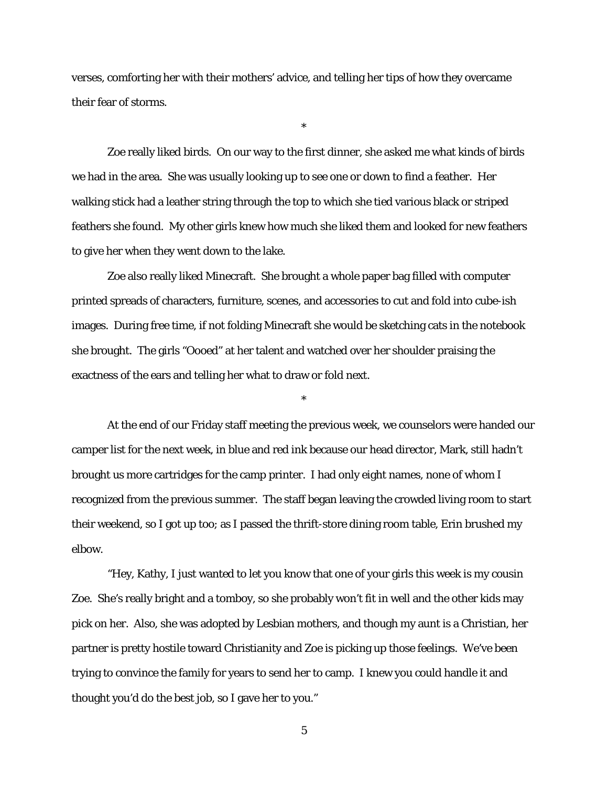verses, comforting her with their mothers' advice, and telling her tips of how they overcame their fear of storms.

\*

Zoe really liked birds. On our way to the first dinner, she asked me what kinds of birds we had in the area. She was usually looking up to see one or down to find a feather. Her walking stick had a leather string through the top to which she tied various black or striped feathers she found. My other girls knew how much she liked them and looked for new feathers to give her when they went down to the lake.

Zoe also really liked Minecraft. She brought a whole paper bag filled with computer printed spreads of characters, furniture, scenes, and accessories to cut and fold into cube-ish images. During free time, if not folding Minecraft she would be sketching cats in the notebook she brought. The girls "Oooed" at her talent and watched over her shoulder praising the exactness of the ears and telling her what to draw or fold next.

At the end of our Friday staff meeting the previous week, we counselors were handed our camper list for the next week, in blue and red ink because our head director, Mark, still hadn't brought us more cartridges for the camp printer. I had only eight names, none of whom I recognized from the previous summer. The staff began leaving the crowded living room to start their weekend, so I got up too; as I passed the thrift-store dining room table, Erin brushed my elbow.

\*

"Hey, Kathy, I just wanted to let you know that one of your girls this week is my cousin Zoe. She's really bright and a tomboy, so she probably won't fit in well and the other kids may pick on her. Also, she was adopted by Lesbian mothers, and though my aunt is a Christian, her partner is pretty hostile toward Christianity and Zoe is picking up those feelings. We've been trying to convince the family for years to send her to camp. I knew you could handle it and thought you'd do the best job, so I gave her to you."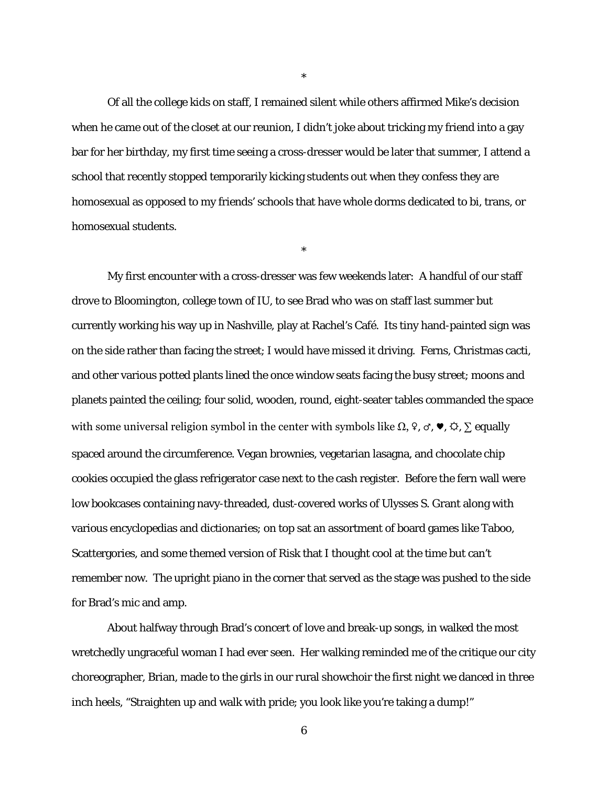Of all the college kids on staff, I remained silent while others affirmed Mike's decision when he came out of the closet at our reunion, I didn't joke about tricking my friend into a gay bar for her birthday, my first time seeing a cross-dresser would be later that summer, I attend a school that recently stopped temporarily kicking students out when they confess they are homosexual as opposed to my friends' schools that have whole dorms dedicated to bi, trans, or homosexual students.

\*

\*

My first encounter with a cross-dresser was few weekends later: A handful of our staff drove to Bloomington, college town of IU, to see Brad who was on staff last summer but currently working his way up in Nashville, play at Rachel's Café. Its tiny hand-painted sign was on the side rather than facing the street; I would have missed it driving. Ferns, Christmas cacti, and other various potted plants lined the once window seats facing the busy street; moons and planets painted the ceiling; four solid, wooden, round, eight-seater tables commanded the space with some universal religion symbol in the center with symbols like  $\Omega$ ,  $\varphi$ ,  $\sigma$ ,  $\blacklozenge$ ,  $\varphi$ ,  $\Sigma$  equally spaced around the circumference. Vegan brownies, vegetarian lasagna, and chocolate chip cookies occupied the glass refrigerator case next to the cash register. Before the fern wall were low bookcases containing navy-threaded, dust-covered works of Ulysses S. Grant along with various encyclopedias and dictionaries; on top sat an assortment of board games like Taboo, Scattergories, and some themed version of Risk that I thought cool at the time but can't remember now. The upright piano in the corner that served as the stage was pushed to the side for Brad's mic and amp.

About halfway through Brad's concert of love and break-up songs, in walked the most wretchedly ungraceful woman I had ever seen. Her walking reminded me of the critique our city choreographer, Brian, made to the girls in our rural showchoir the first night we danced in three inch heels, "Straighten up and walk with pride; you look like you're taking a dump!"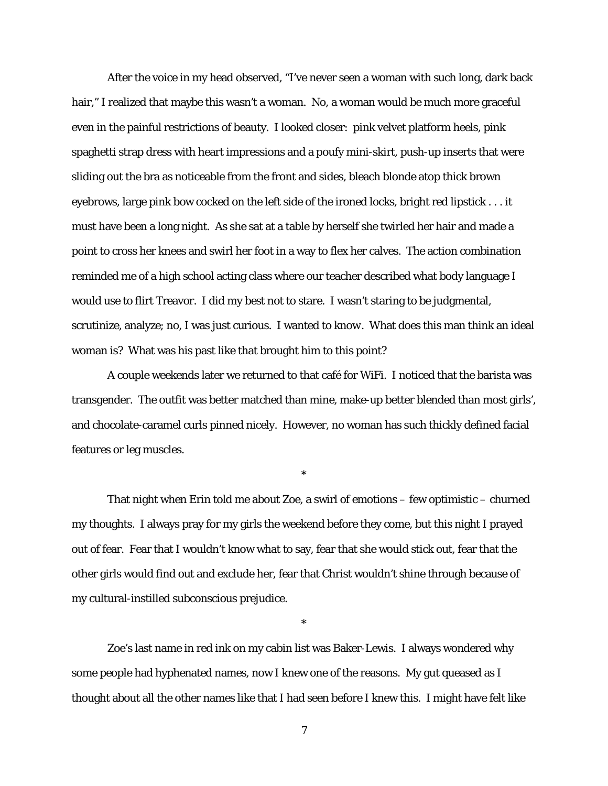After the voice in my head observed, "I've never seen a woman with such long, dark back hair," I realized that maybe this wasn't a woman. No, a woman would be much more graceful even in the painful restrictions of beauty. I looked closer: pink velvet platform heels, pink spaghetti strap dress with heart impressions and a poufy mini-skirt, push-up inserts that were sliding out the bra as noticeable from the front and sides, bleach blonde atop thick brown eyebrows, large pink bow cocked on the left side of the ironed locks, bright red lipstick . . . it must have been a long night. As she sat at a table by herself she twirled her hair and made a point to cross her knees and swirl her foot in a way to flex her calves. The action combination reminded me of a high school acting class where our teacher described what body language I would use to flirt Treavor. I did my best not to stare. I wasn't staring to be judgmental, scrutinize, analyze; no, I was just curious. I wanted to *know*. What does this man think an ideal woman is? What was his past like that brought him to this point?

A couple weekends later we returned to that café for WiFi. I noticed that the barista was transgender. The outfit was better matched than mine, make-up better blended than most girls', and chocolate-caramel curls pinned nicely. However, no woman has such thickly defined facial features or leg muscles.

\*

That night when Erin told me about Zoe, a swirl of emotions – few optimistic – churned my thoughts. I always pray for my girls the weekend before they come, but this night I prayed out of fear. Fear that I wouldn't know what to say, fear that she would stick out, fear that the other girls would find out and exclude her, fear that Christ wouldn't shine through because of my cultural-instilled subconscious prejudice.

\*

Zoe's last name in red ink on my cabin list was Baker-Lewis. I always wondered why some people had hyphenated names, now I knew one of the reasons. My gut queased as I thought about all the other names like that I had seen before I knew this. I might have felt like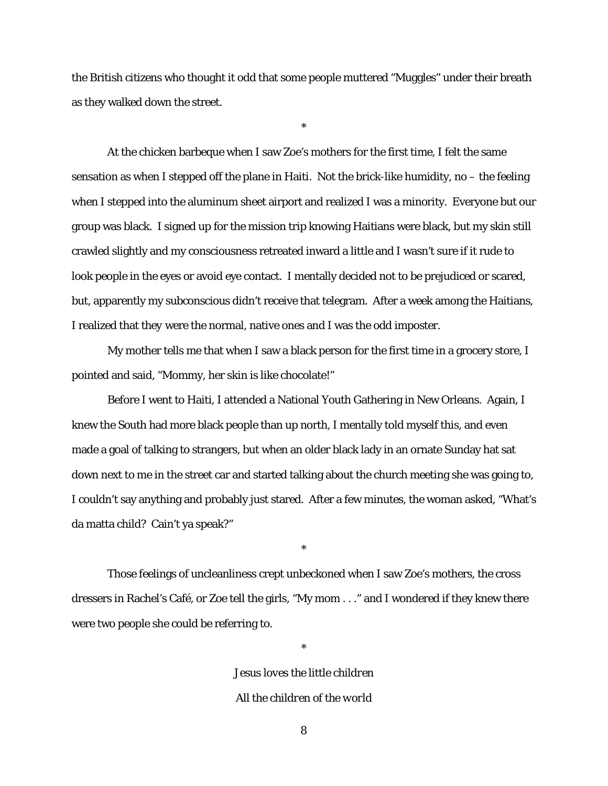the British citizens who thought it odd that some people muttered "Muggles" under their breath as they walked down the street.

\*

At the chicken barbeque when I saw Zoe's mothers for the first time, I felt the same sensation as when I stepped off the plane in Haiti. Not the brick-like humidity, no – the feeling when I stepped into the aluminum sheet airport and realized I was a minority. Everyone but our group was black. I signed up for the mission trip knowing Haitians were black, but my skin still crawled slightly and my consciousness retreated inward a little and I wasn't sure if it rude to look people in the eyes or avoid eye contact. I mentally decided not to be prejudiced or scared, but, apparently my subconscious didn't receive that telegram. After a week among the Haitians, I realized that *they* were the normal, native ones and *I* was the odd imposter.

My mother tells me that when I saw a black person for the first time in a grocery store, I pointed and said, "Mommy, her skin is like chocolate!"

Before I went to Haiti, I attended a National Youth Gathering in New Orleans. Again, I knew the South had more black people than up north, I mentally told myself this, and even made a goal of talking to strangers, but when an older black lady in an ornate Sunday hat sat down next to me in the street car and started talking about the church meeting she was going to, I couldn't say anything and probably just stared. After a few minutes, the woman asked, "What's da matta child? Cain't ya speak?"

Those feelings of uncleanliness crept unbeckoned when I saw Zoe's mothers, the cross dressers in Rachel's Café, or Zoe tell the girls, "My mom . . ." and I wondered if they knew there were two people she could be referring to.

\*

*Jesus loves the little children All the children of the world*

\*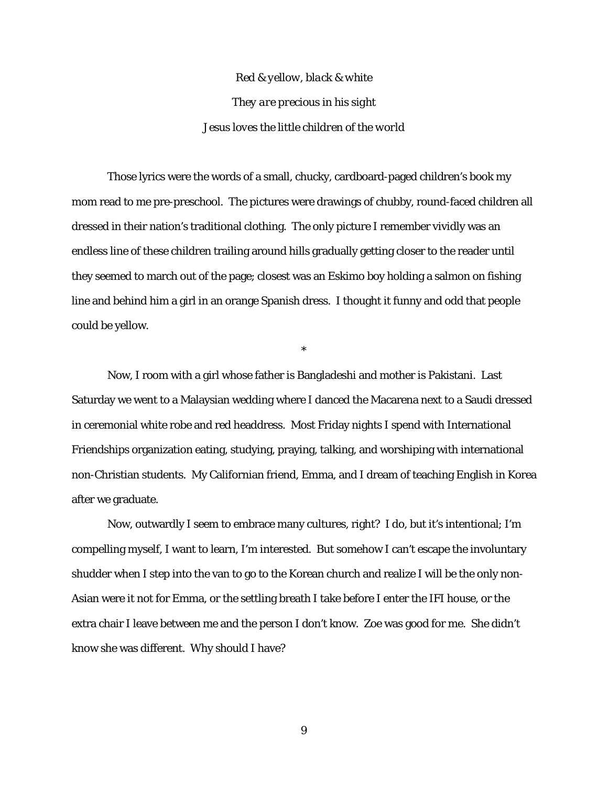*Red & yellow, black & white They are precious in his sight Jesus loves the little children of the world*

Those lyrics were the words of a small, chucky, cardboard-paged children's book my mom read to me pre-preschool. The pictures were drawings of chubby, round-faced children all dressed in their nation's traditional clothing. The only picture I remember vividly was an endless line of these children trailing around hills gradually getting closer to the reader until they seemed to march out of the page; closest was an Eskimo boy holding a salmon on fishing line and behind him a girl in an orange Spanish dress. I thought it funny and odd that people could be yellow.

\*

Now, I room with a girl whose father is Bangladeshi and mother is Pakistani. Last Saturday we went to a Malaysian wedding where I danced the Macarena next to a Saudi dressed in ceremonial white robe and red headdress. Most Friday nights I spend with International Friendships organization eating, studying, praying, talking, and worshiping with international non-Christian students. My Californian friend, Emma, and I dream of teaching English in Korea after we graduate.

Now, outwardly I seem to embrace many cultures, right? I do, but it's intentional; I'm compelling myself, I want to learn, I'm interested. But somehow I can't escape the involuntary shudder when I step into the van to go to the Korean church and realize I will be the only non-Asian were it not for Emma, or the settling breath I take before I enter the IFI house, or the extra chair I leave between me and the person I don't know. Zoe was good for me. She didn't know she was different. Why should I have?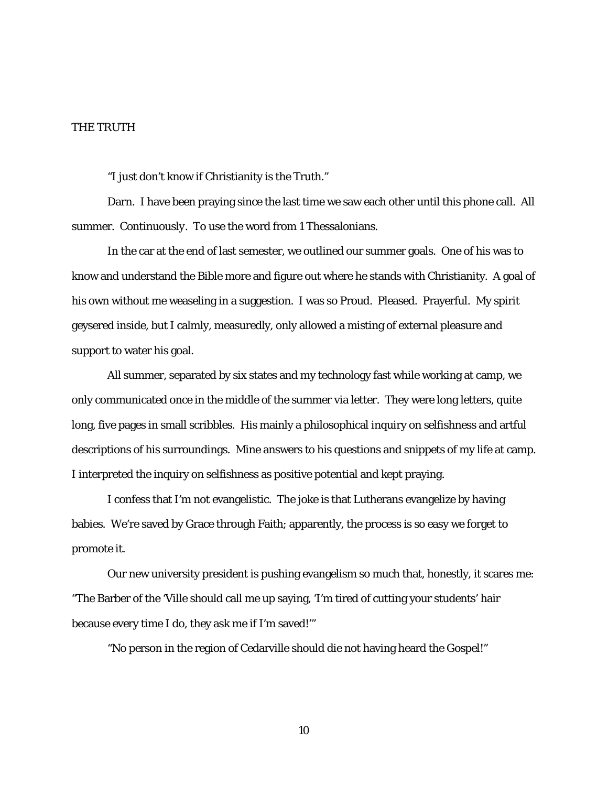### THE TRUTH

"I just don't know if Christianity is the Truth."

Darn. I have been praying since the last time we saw each other until this phone call. All summer. *Continuously*. To use the word from 1 Thessalonians.

In the car at the end of last semester, we outlined our summer goals. One of his was to know and understand the Bible more and figure out where he stands with Christianity. A goal of his own without me weaseling in a suggestion. I was so Proud. Pleased. Prayerful. My spirit geysered inside, but I calmly, measuredly, only allowed a misting of external pleasure and support to water his goal.

All summer, separated by six states and my technology fast while working at camp, we only communicated once in the middle of the summer via letter. They were long letters, quite long, five pages in small scribbles. His mainly a philosophical inquiry on selfishness and artful descriptions of his surroundings. Mine answers to his questions and snippets of my life at camp. I interpreted the inquiry on selfishness as positive potential and kept praying.

I confess that I'm not evangelistic. The joke is that Lutherans evangelize by having babies. We're saved by Grace through Faith; apparently, the process is so easy we forget to promote it.

Our new university president is pushing evangelism so much that, honestly, it scares me: "The Barber of the 'Ville should call me up saying, 'I'm tired of cutting your students' hair because every time I do, they ask me if I'm saved!'"

"No person in the region of Cedarville should die not having heard the Gospel!"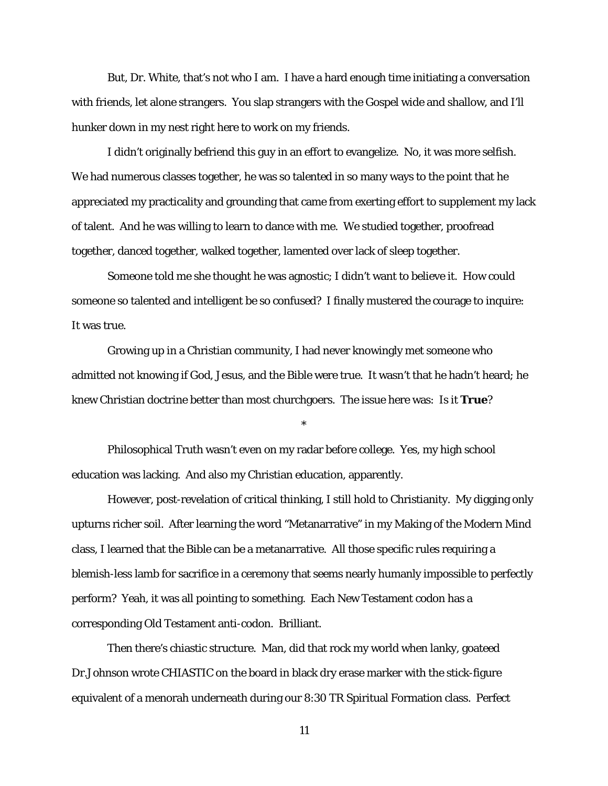But, Dr. White, that's not who I am. I have a hard enough time initiating a conversation with friends, let alone strangers. You slap strangers with the Gospel wide and shallow, and I'll hunker down in my nest right here to work on my friends.

I didn't originally befriend this guy in an effort to evangelize. No, it was more selfish. We had numerous classes together, he was so talented in so many ways to the point that he appreciated my practicality and grounding that came from exerting effort to supplement my lack of talent. And he was willing to learn to dance with me. We studied together, proofread together, danced together, walked together, lamented over lack of sleep together.

Someone told me she thought he was agnostic; I didn't want to believe it. How could someone so talented and intelligent be so confused? I finally mustered the courage to inquire: It was true.

Growing up in a Christian community, I had never knowingly met someone who admitted not knowing if God, Jesus, and the Bible were true. It wasn't that he hadn't heard; he knew Christian doctrine better than most churchgoers. The issue here was: Is it *True*?

\*

Philosophical Truth wasn't even on my radar before college. Yes, my high school education was lacking. And also my Christian education, apparently.

However, post-revelation of critical thinking, I still hold to Christianity. My digging only upturns richer soil. After learning the word "Metanarrative" in my Making of the Modern Mind class, I learned that the Bible can be a metanarrative. All those specific rules requiring a blemish-less lamb for sacrifice in a ceremony that seems nearly humanly impossible to perfectly perform? Yeah, it was all pointing to something. Each New Testament codon has a corresponding Old Testament anti-codon. Brilliant.

Then there's chiastic structure. Man, did that rock my world when lanky, goateed Dr.Johnson wrote CHIASTIC on the board in black dry erase marker with the stick-figure equivalent of a menorah underneath during our 8:30 TR Spiritual Formation class. Perfect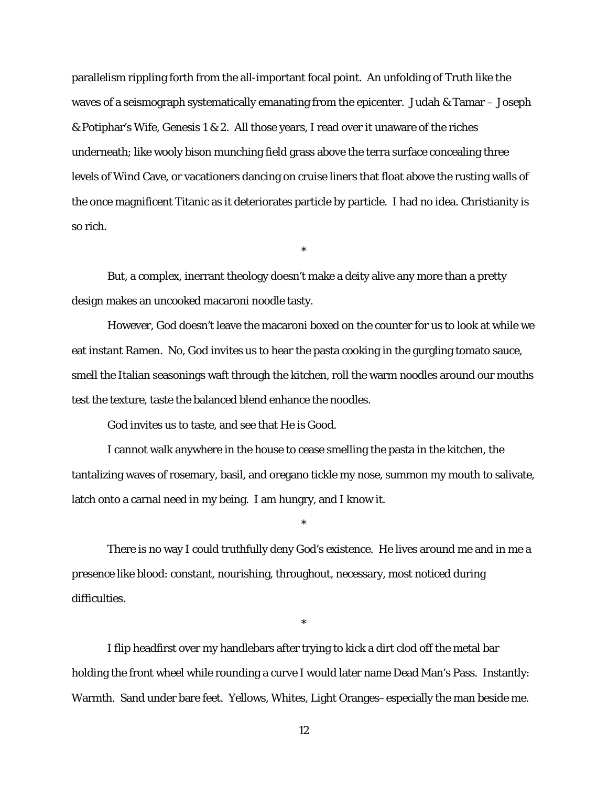parallelism rippling forth from the all-important focal point. An unfolding of Truth like the waves of a seismograph systematically emanating from the epicenter. Judah & Tamar – Joseph & Potiphar's Wife, Genesis 1 & 2. All those years, I read over it unaware of the riches underneath; like wooly bison munching field grass above the terra surface concealing three levels of Wind Cave, or vacationers dancing on cruise liners that float above the rusting walls of the once magnificent Titanic as it deteriorates particle by particle. I had no idea. Christianity is so rich.

\*

But, a complex, inerrant theology doesn't make a deity alive any more than a pretty design makes an uncooked macaroni noodle tasty.

However, God doesn't leave the macaroni boxed on the counter for us to look at while we eat instant Ramen. No, God invites us to hear the pasta cooking in the gurgling tomato sauce, smell the Italian seasonings waft through the kitchen, roll the warm noodles around our mouths test the texture, taste the balanced blend enhance the noodles.

God invites us to taste, and see that He is Good.

I cannot walk anywhere in the house to cease smelling the pasta in the kitchen, the tantalizing waves of rosemary, basil, and oregano tickle my nose, summon my mouth to salivate, latch onto a carnal need in my being. I am hungry, and I know it.

\*

There is no way I could truthfully deny God's existence. He lives around me and in me a presence like blood: constant, nourishing, throughout, necessary, most noticed during difficulties.

\*

I flip headfirst over my handlebars after trying to kick a dirt clod off the metal bar holding the front wheel while rounding a curve I would later name Dead Man's Pass. Instantly: Warmth. Sand under bare feet. Yellows, Whites, Light Oranges–especially the man beside me.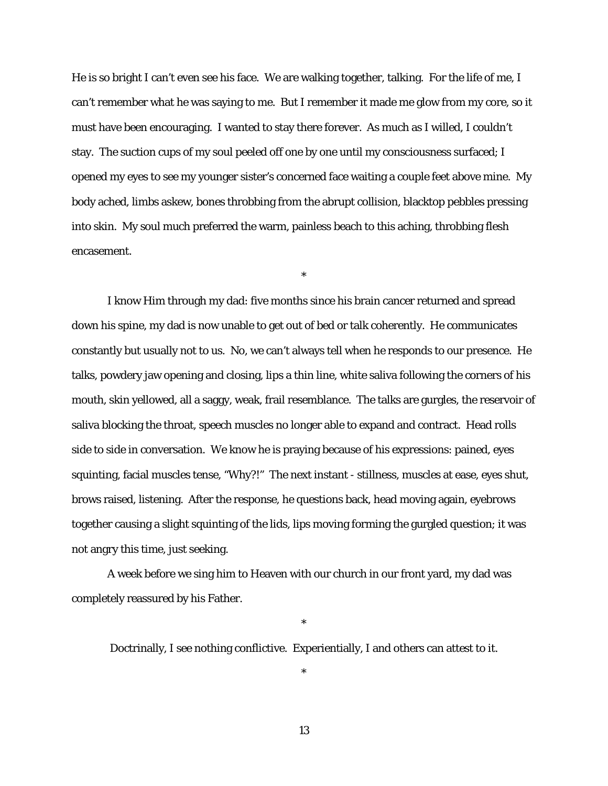He is so bright I can't even see his face. We are walking together, talking. For the life of me, I can't remember what he was saying to me. But I remember it made me glow from my core, so it must have been encouraging. I wanted to stay there forever. As much as I willed, I couldn't stay. The suction cups of my soul peeled off one by one until my consciousness surfaced; I opened my eyes to see my younger sister's concerned face waiting a couple feet above mine. My body ached, limbs askew, bones throbbing from the abrupt collision, blacktop pebbles pressing into skin. My soul much preferred the warm, painless beach to this aching, throbbing flesh encasement.

\*

I know Him through my dad: five months since his brain cancer returned and spread down his spine, my dad is now unable to get out of bed or talk coherently. He communicates constantly but usually not to us. No, we can't always tell when he responds to our presence. He talks, powdery jaw opening and closing, lips a thin line, white saliva following the corners of his mouth, skin yellowed, all a saggy, weak, frail resemblance. The talks are gurgles, the reservoir of saliva blocking the throat, speech muscles no longer able to expand and contract. Head rolls side to side in conversation. We know he is praying because of his expressions: pained, eyes squinting, facial muscles tense, "Why?!" The next instant - stillness, muscles at ease, eyes shut, brows raised, listening. After the response, he questions back, head moving again, eyebrows together causing a slight squinting of the lids, lips moving forming the gurgled question; it was not angry this time, just seeking.

A week before we sing him to Heaven with our church in our front yard, my dad was completely reassured by his Father.

Doctrinally, I see nothing conflictive. Experientially, I and others can attest to it.

\*

\*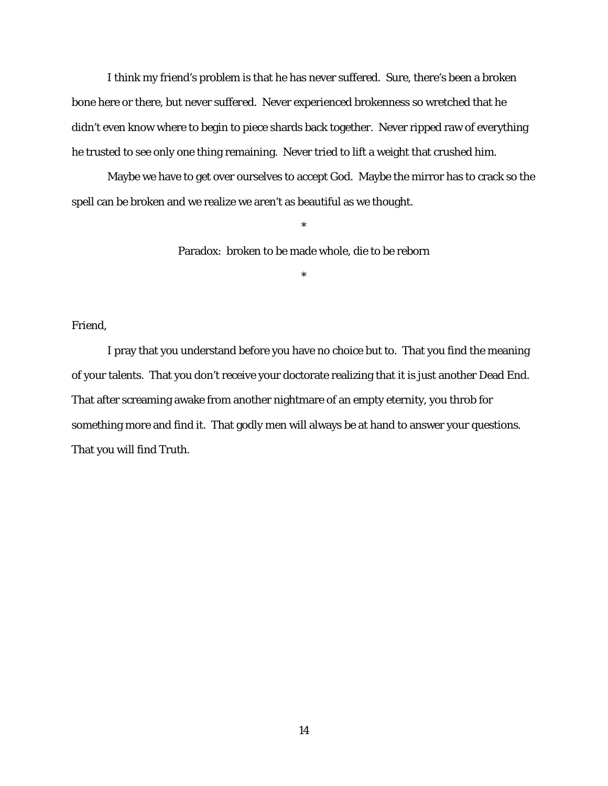I think my friend's problem is that he has never suffered. Sure, there's been a broken bone here or there, but never *suffered*. Never experienced brokenness so wretched that he didn't even know where to begin to piece shards back together. Never ripped raw of everything he trusted to see only one thing remaining. Never tried to lift a weight that crushed him.

Maybe we have to get over ourselves to accept God. Maybe the mirror has to crack so the spell can be broken and we realize we aren't as beautiful as we thought.

Paradox: broken to be made whole, die to be reborn

\*

\*

Friend,

I pray that you understand before you have no choice but to. That you find the meaning of your talents. That you don't receive your doctorate realizing that it is just another Dead End. That after screaming awake from another nightmare of an empty eternity, you throb for something more and *find it*. That godly men will always be at hand to answer your questions. That you will find Truth.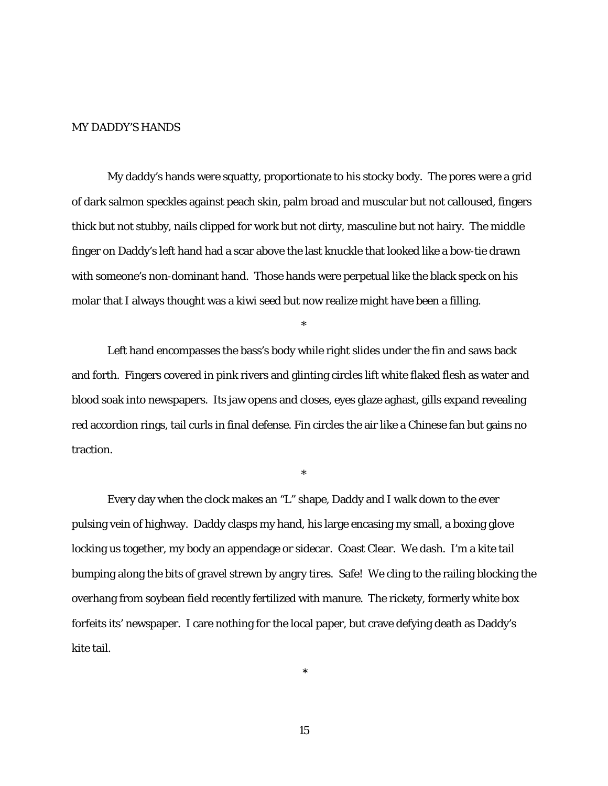### MY DADDY'S HANDS

My daddy's hands were squatty, proportionate to his stocky body. The pores were a grid of dark salmon speckles against peach skin, palm broad and muscular but not calloused, fingers thick but not stubby, nails clipped for work but not dirty, masculine but not hairy. The middle finger on Daddy's left hand had a scar above the last knuckle that looked like a bow-tie drawn with someone's non-dominant hand. Those hands were perpetual like the black speck on his molar that I always thought was a kiwi seed but now realize might have been a filling.

Left hand encompasses the bass's body while right slides under the fin and saws back and forth. Fingers covered in pink rivers and glinting circles lift white flaked flesh as water and blood soak into newspapers. Its jaw opens and closes, eyes glaze aghast, gills expand revealing red accordion rings, tail curls in final defense. Fin circles the air like a Chinese fan but gains no traction.

\*

\*

Every day when the clock makes an "L" shape, Daddy and I walk down to the ever pulsing vein of highway. Daddy clasps my hand, his large encasing my small, a boxing glove locking us together, my body an appendage or sidecar. Coast Clear. We dash. I'm a kite tail bumping along the bits of gravel strewn by angry tires. Safe! We cling to the railing blocking the overhang from soybean field recently fertilized with manure. The rickety, formerly white box forfeits its' newspaper. I care nothing for the local paper, but crave defying death as Daddy's kite tail.

15

\*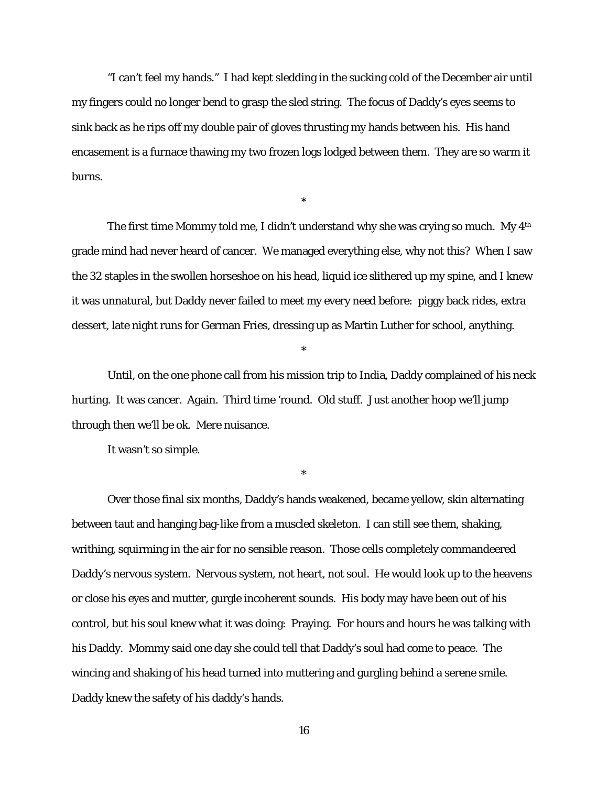"I can't feel my hands." I had kept sledding in the sucking cold of the December air until my fingers could no longer bend to grasp the sled string. The focus of Daddy's eyes seems to sink back as he rips off my double pair of gloves thrusting my hands between his. His hand encasement is a furnace thawing my two frozen logs lodged between them. They are so warm it burns.

\*

The first time Mommy told me, I didn't understand why she was crying so much. My 4<sup>th</sup> grade mind had never heard of cancer. We managed everything else, why not this? When I saw the 32 staples in the swollen horseshoe on his head, liquid ice slithered up my spine, and I knew it was unnatural, but Daddy never failed to meet my every need before: piggy back rides, extra dessert, late night runs for German Fries, dressing up as Martin Luther for school, anything.

Until, on the one phone call from his mission trip to India, Daddy complained of his neck hurting. It was cancer. Again. Third time 'round. Old stuff. Just another hoop we'll jump through then we'll be ok. Mere nuisance.

\*

\*

It wasn't so simple.

Over those final six months, Daddy's hands weakened, became yellow, skin alternating between taut and hanging bag-like from a muscled skeleton. I can still see them, shaking, writhing, squirming in the air for no sensible reason. Those cells completely commandeered Daddy's nervous system. Nervous system, not heart, not soul. He would look up to the heavens or close his eyes and mutter, gurgle incoherent sounds. His body may have been out of his control, but his soul knew what it was doing: Praying. For hours and hours he was talking with his Daddy. Mommy said one day she could tell that Daddy's soul had come to peace. The wincing and shaking of his head turned into muttering and gurgling behind a serene smile. Daddy knew the safety of his daddy's hands.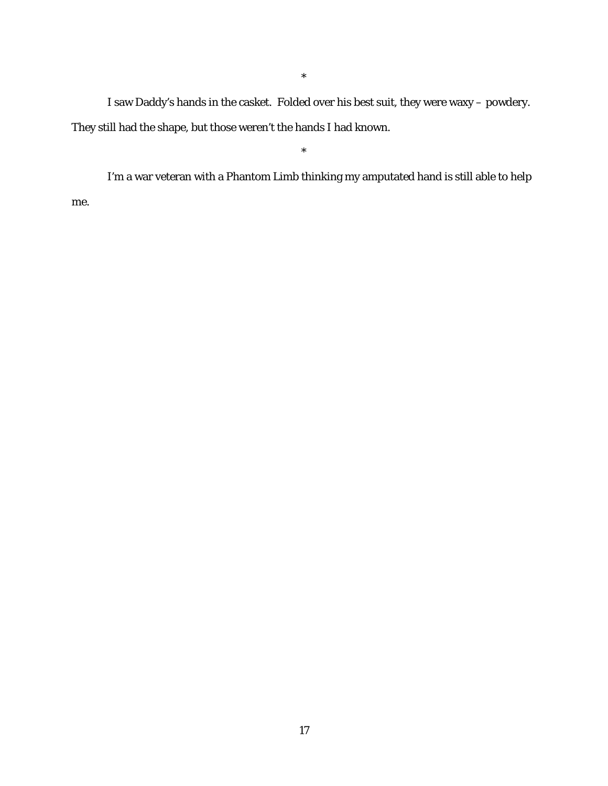I saw Daddy's hands in the casket. Folded over his best suit, they were waxy – powdery. They still had the shape, but those weren't the hands I had known.

\*

\*

I'm a war veteran with a Phantom Limb thinking my amputated hand is still able to help me.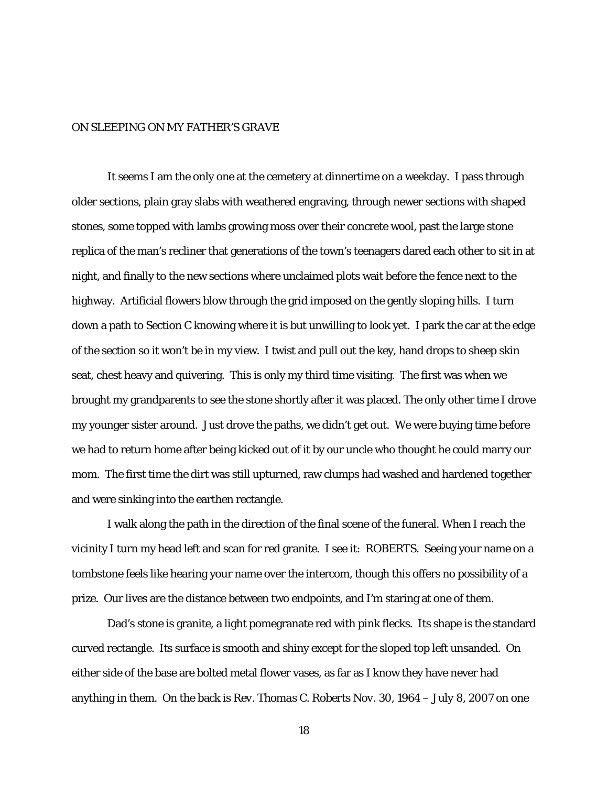### ON SLEEPING ON MY FATHER'S GRAVE

It seems I am the only one at the cemetery at dinnertime on a weekday. I pass through older sections, plain gray slabs with weathered engraving, through newer sections with shaped stones, some topped with lambs growing moss over their concrete wool, past the large stone replica of the man's recliner that generations of the town's teenagers dared each other to sit in at night, and finally to the new sections where unclaimed plots wait before the fence next to the highway. Artificial flowers blow through the grid imposed on the gently sloping hills. I turn down a path to Section C knowing where it is but unwilling to look yet. I park the car at the edge of the section so it won't be in my view. I twist and pull out the key, hand drops to sheep skin seat, chest heavy and quivering. This is only my third time visiting. The first was when we brought my grandparents to see the stone shortly after it was placed. The only other time I drove my younger sister around. Just drove the paths, we didn't get out. We were buying time before we had to return home after being kicked out of it by our uncle who thought he could marry our mom. The first time the dirt was still upturned, raw clumps had washed and hardened together and were sinking into the earthen rectangle.

I walk along the path in the direction of the final scene of the funeral. When I reach the vicinity I turn my head left and scan for red granite. I see it: ROBERTS. Seeing your name on a tombstone feels like hearing your name over the intercom, though this offers no possibility of a prize. Our lives are the distance between two endpoints, and I'm staring at one of them.

Dad's stone is granite, a light pomegranate red with pink flecks. Its shape is the standard curved rectangle. Its surface is smooth and shiny except for the sloped top left unsanded. On either side of the base are bolted metal flower vases, as far as I know they have never had anything in them. On the back is *Rev. Thomas C. Roberts Nov. 30, 1964 – July 8, 2007* on one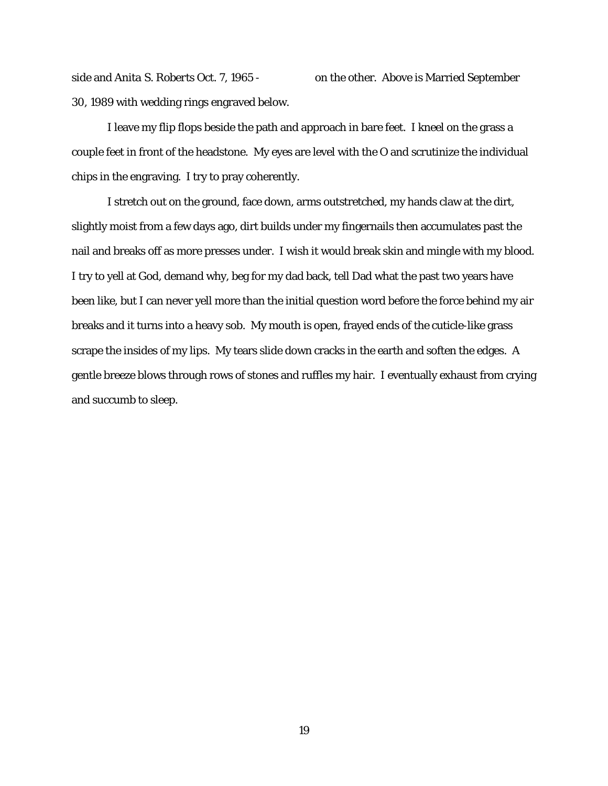side and *Anita S. Roberts Oct. 7, 1965 -* on the other. Above is Married September 30, 1989 with wedding rings engraved below.

I leave my flip flops beside the path and approach in bare feet. I kneel on the grass a couple feet in front of the headstone. My eyes are level with the O and scrutinize the individual chips in the engraving. I try to pray coherently.

I stretch out on the ground, face down, arms outstretched, my hands claw at the dirt, slightly moist from a few days ago, dirt builds under my fingernails then accumulates past the nail and breaks off as more presses under. I wish it would break skin and mingle with my blood. I try to yell at God, demand why, beg for my dad back, tell Dad what the past two years have been like, but I can never yell more than the initial question word before the force behind my air breaks and it turns into a heavy sob. My mouth is open, frayed ends of the cuticle-like grass scrape the insides of my lips. My tears slide down cracks in the earth and soften the edges. A gentle breeze blows through rows of stones and ruffles my hair. I eventually exhaust from crying and succumb to sleep.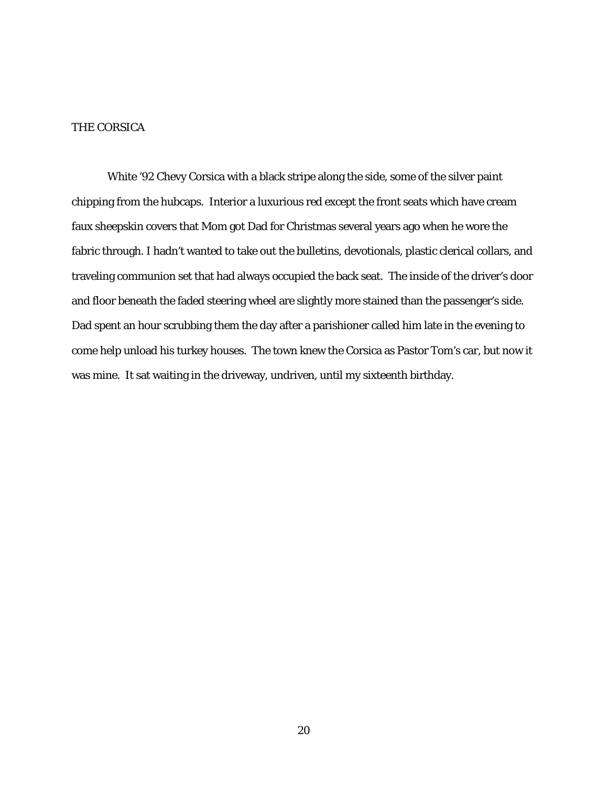# THE CORSICA

White '92 Chevy Corsica with a black stripe along the side, some of the silver paint chipping from the hubcaps. Interior a luxurious red except the front seats which have cream faux sheepskin covers that Mom got Dad for Christmas several years ago when he wore the fabric through. I hadn't wanted to take out the bulletins, devotionals, plastic clerical collars, and traveling communion set that had always occupied the back seat. The inside of the driver's door and floor beneath the faded steering wheel are slightly more stained than the passenger's side. Dad spent an hour scrubbing them the day after a parishioner called him late in the evening to come help unload his turkey houses. The town knew the Corsica as Pastor Tom's car, but now it was mine. It sat waiting in the driveway, undriven, until my sixteenth birthday.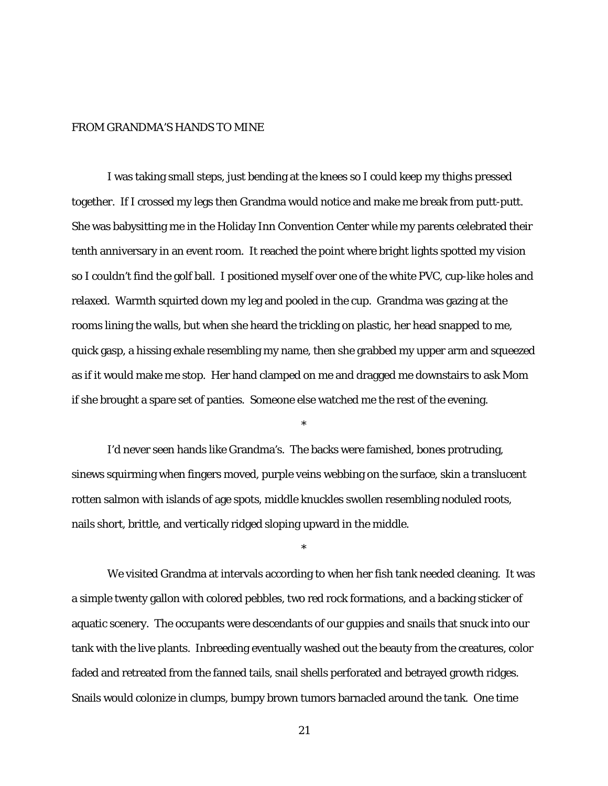### FROM GRANDMA'S HANDS TO MINE

I was taking small steps, just bending at the knees so I could keep my thighs pressed together. If I crossed my legs then Grandma would notice and make me break from putt-putt. She was babysitting me in the Holiday Inn Convention Center while my parents celebrated their tenth anniversary in an event room. It reached the point where bright lights spotted my vision so I couldn't find the golf ball. I positioned myself over one of the white PVC, cup-like holes and relaxed. Warmth squirted down my leg and pooled in the cup. Grandma was gazing at the rooms lining the walls, but when she heard the trickling on plastic, her head snapped to me, quick gasp, a hissing exhale resembling my name, then she grabbed my upper arm and squeezed as if it would make me stop. Her hand clamped on me and dragged me downstairs to ask Mom if she brought a spare set of panties. Someone else watched me the rest of the evening.

I'd never seen hands like Grandma's. The backs were famished, bones protruding, sinews squirming when fingers moved, purple veins webbing on the surface, skin a translucent rotten salmon with islands of age spots, middle knuckles swollen resembling noduled roots, nails short, brittle, and vertically ridged sloping upward in the middle.

\*

\*

We visited Grandma at intervals according to when her fish tank needed cleaning. It was a simple twenty gallon with colored pebbles, two red rock formations, and a backing sticker of aquatic scenery. The occupants were descendants of our guppies and snails that snuck into our tank with the live plants. Inbreeding eventually washed out the beauty from the creatures, color faded and retreated from the fanned tails, snail shells perforated and betrayed growth ridges. Snails would colonize in clumps, bumpy brown tumors barnacled around the tank. One time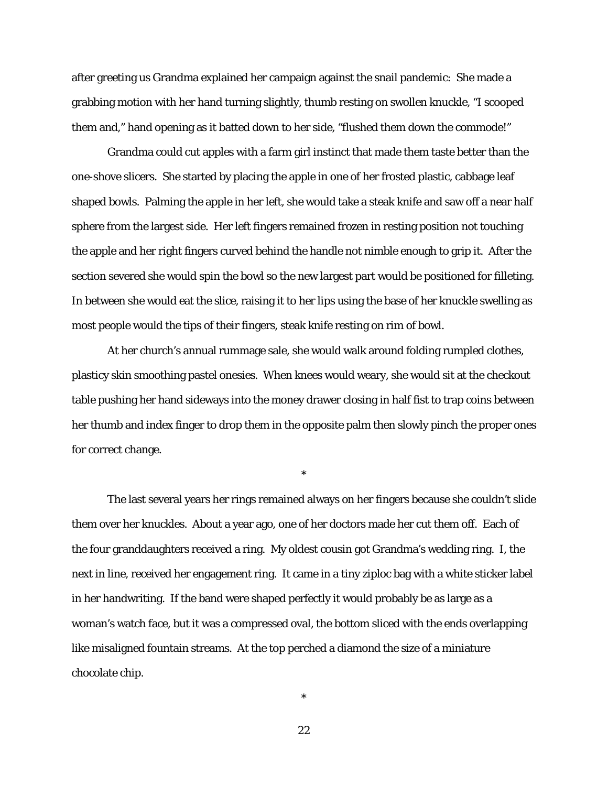after greeting us Grandma explained her campaign against the snail pandemic: She made a grabbing motion with her hand turning slightly, thumb resting on swollen knuckle, "I scooped them and," hand opening as it batted down to her side, "flushed them down the commode!"

Grandma could cut apples with a farm girl instinct that made them taste better than the one-shove slicers. She started by placing the apple in one of her frosted plastic, cabbage leaf shaped bowls. Palming the apple in her left, she would take a steak knife and saw off a near half sphere from the largest side. Her left fingers remained frozen in resting position not touching the apple and her right fingers curved behind the handle not nimble enough to grip it. After the section severed she would spin the bowl so the new largest part would be positioned for filleting. In between she would eat the slice, raising it to her lips using the base of her knuckle swelling as most people would the tips of their fingers, steak knife resting on rim of bowl.

At her church's annual rummage sale, she would walk around folding rumpled clothes, plasticy skin smoothing pastel onesies. When knees would weary, she would sit at the checkout table pushing her hand sideways into the money drawer closing in half fist to trap coins between her thumb and index finger to drop them in the opposite palm then slowly pinch the proper ones for correct change.

\*

The last several years her rings remained always on her fingers because she couldn't slide them over her knuckles. About a year ago, one of her doctors made her cut them off. Each of the four granddaughters received a ring. My oldest cousin got Grandma's wedding ring. I, the next in line, received her engagement ring. It came in a tiny ziploc bag with a white sticker label in her handwriting. If the band were shaped perfectly it would probably be as large as a woman's watch face, but it was a compressed oval, the bottom sliced with the ends overlapping like misaligned fountain streams. At the top perched a diamond the size of a miniature chocolate chip.

22

\*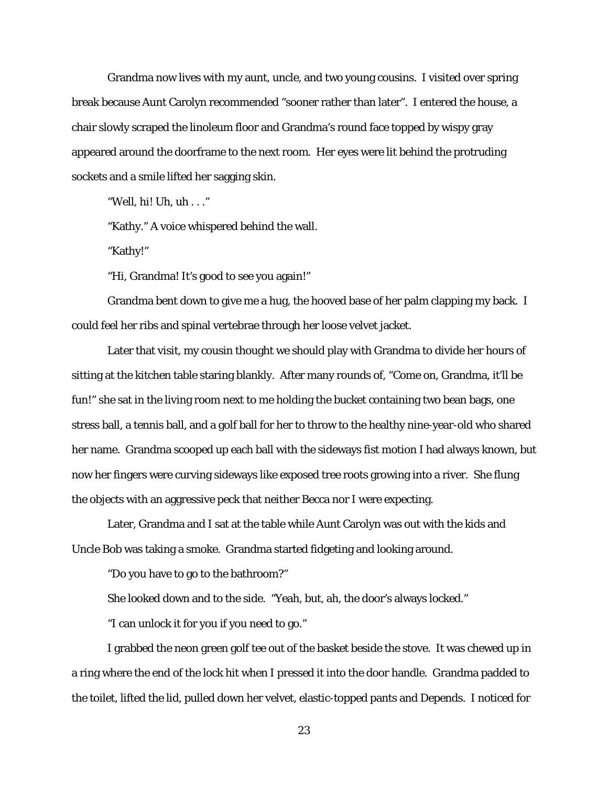Grandma now lives with my aunt, uncle, and two young cousins. I visited over spring break because Aunt Carolyn recommended "sooner rather than later". I entered the house, a chair slowly scraped the linoleum floor and Grandma's round face topped by wispy gray appeared around the doorframe to the next room. Her eyes were lit behind the protruding sockets and a smile lifted her sagging skin.

"Well, hi! Uh, uh . . ."

"Kathy." A voice whispered behind the wall.

"Kathy!"

"Hi, Grandma! It's good to see you again!"

Grandma bent down to give me a hug, the hooved base of her palm clapping my back. I could feel her ribs and spinal vertebrae through her loose velvet jacket.

Later that visit, my cousin thought we should play with Grandma to divide her hours of sitting at the kitchen table staring blankly. After many rounds of, "Come on, Grandma, it'll be fun!" she sat in the living room next to me holding the bucket containing two bean bags, one stress ball, a tennis ball, and a golf ball for her to throw to the healthy nine-year-old who shared her name. Grandma scooped up each ball with the sideways fist motion I had always known, but now her fingers were curving sideways like exposed tree roots growing into a river. She flung the objects with an aggressive peck that neither Becca nor I were expecting.

Later, Grandma and I sat at the table while Aunt Carolyn was out with the kids and Uncle Bob was taking a smoke. Grandma started fidgeting and looking around.

"Do you have to go to the bathroom?"

She looked down and to the side. "Yeah, but, ah, the door's always locked."

"I can unlock it for you if you need to go."

I grabbed the neon green golf tee out of the basket beside the stove. It was chewed up in a ring where the end of the lock hit when I pressed it into the door handle. Grandma padded to the toilet, lifted the lid, pulled down her velvet, elastic-topped pants and Depends. I noticed for

23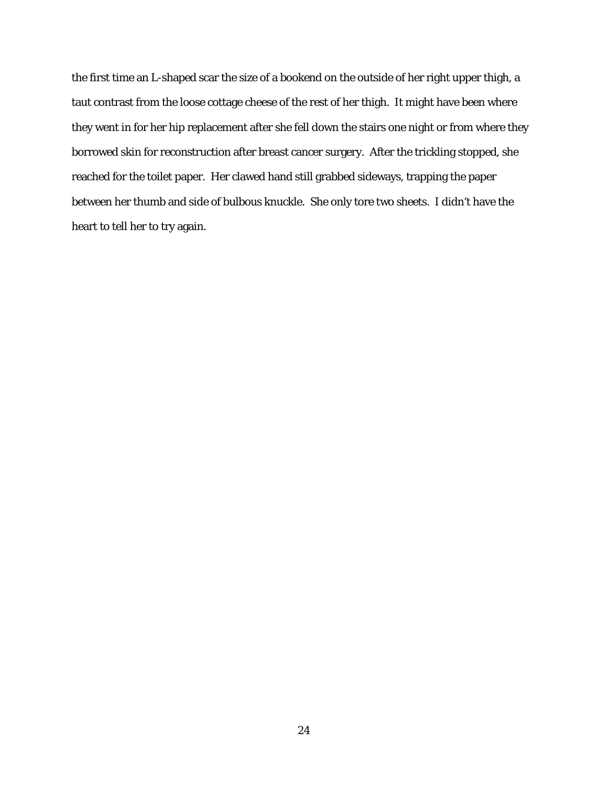the first time an L-shaped scar the size of a bookend on the outside of her right upper thigh, a taut contrast from the loose cottage cheese of the rest of her thigh. It might have been where they went in for her hip replacement after she fell down the stairs one night or from where they borrowed skin for reconstruction after breast cancer surgery. After the trickling stopped, she reached for the toilet paper. Her clawed hand still grabbed sideways, trapping the paper between her thumb and side of bulbous knuckle. She only tore two sheets. I didn't have the heart to tell her to try again.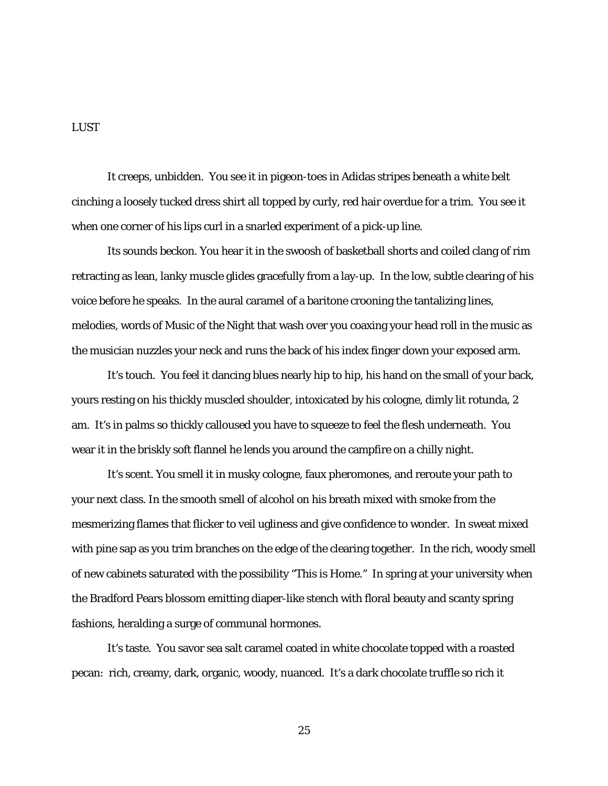#### LUST

It creeps, unbidden. You see it in pigeon-toes in Adidas stripes beneath a white belt cinching a loosely tucked dress shirt all topped by curly, red hair overdue for a trim. You see it when one corner of his lips curl in a snarled experiment of a pick-up line.

Its sounds beckon. You hear it in the swoosh of basketball shorts and coiled clang of rim retracting as lean, lanky muscle glides gracefully from a lay-up. In the low, subtle clearing of his voice before he speaks. In the aural caramel of a baritone crooning the tantalizing lines, melodies, words of *Music of the Night* that wash over you coaxing your head roll in the music as the musician nuzzles your neck and runs the back of his index finger down your exposed arm.

It's touch. You feel it dancing blues nearly hip to hip, his hand on the small of your back, yours resting on his thickly muscled shoulder, intoxicated by his cologne, dimly lit rotunda, 2 am. It's in palms so thickly calloused you have to squeeze to feel the flesh underneath. You wear it in the briskly soft flannel he lends you around the campfire on a chilly night.

It's scent. You smell it in musky cologne, faux pheromones, and reroute your path to your next class. In the smooth smell of alcohol on his breath mixed with smoke from the mesmerizing flames that flicker to veil ugliness and give confidence to wonder. In sweat mixed with pine sap as you trim branches on the edge of the clearing together. In the rich, woody smell of new cabinets saturated with the possibility "This is Home." In spring at your university when the Bradford Pears blossom emitting diaper-like stench with floral beauty and scanty spring fashions, heralding a surge of communal hormones.

It's taste. You savor sea salt caramel coated in white chocolate topped with a roasted pecan: rich, creamy, dark, organic, woody, nuanced. It's a dark chocolate truffle so rich it

25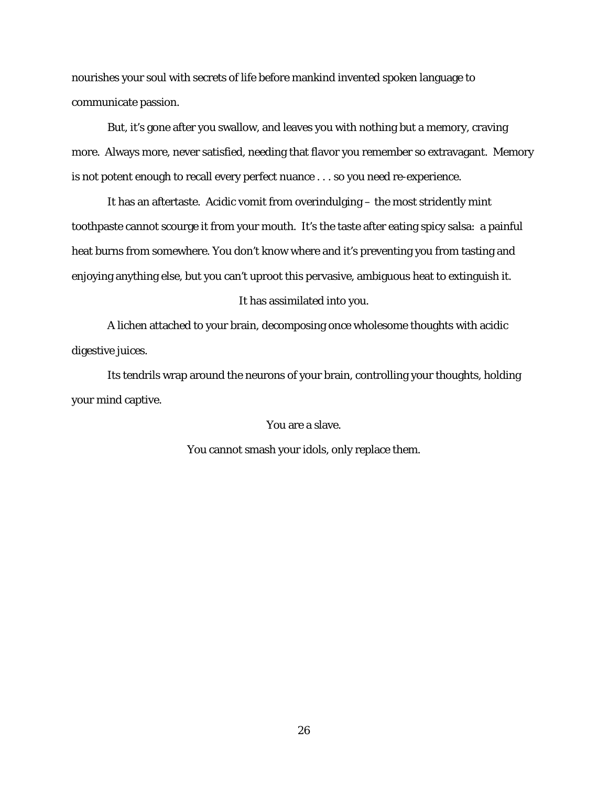nourishes your soul with secrets of life before mankind invented spoken language to communicate passion.

But, it's gone after you swallow, and leaves you with nothing but a memory, craving more. Always more, never satisfied, needing that flavor you remember so extravagant. Memory is not potent enough to recall every perfect nuance . . . so you *need* re-experience.

It has an aftertaste. Acidic vomit from overindulging – the most stridently mint toothpaste cannot scourge it from your mouth. It's the taste after eating spicy salsa: a painful heat burns from somewhere. You don't know where and it's preventing you from tasting and enjoying anything else, but you can't uproot this pervasive, ambiguous heat to extinguish it.

#### It has assimilated into you.

A lichen attached to your brain, decomposing once wholesome thoughts with acidic digestive juices.

Its tendrils wrap around the neurons of your brain, controlling your thoughts, holding your mind captive.

You are a slave.

You cannot smash your idols, only replace them.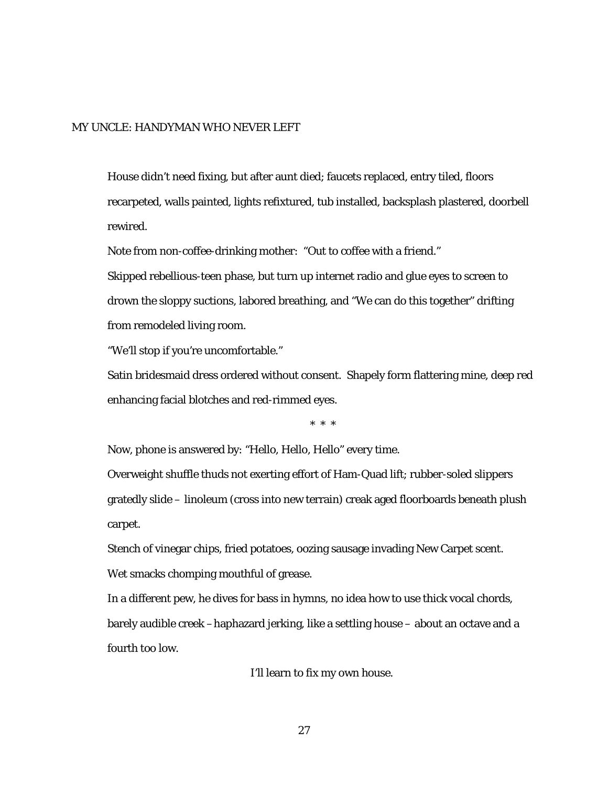#### MY UNCLE: HANDYMAN WHO NEVER LEFT

House didn't need fixing, but after aunt died; faucets replaced, entry tiled, floors recarpeted, walls painted, lights refixtured, tub installed, backsplash plastered, doorbell rewired.

Note from non-coffee-drinking mother: "Out to coffee with a friend."

Skipped rebellious-teen phase, but turn up internet radio and glue eyes to screen to drown the sloppy suctions, labored breathing, and "We can do this together" drifting from remodeled living room.

"We'll stop if you're uncomfortable."

Satin bridesmaid dress ordered without consent. Shapely form flattering mine, deep red enhancing facial blotches and red-rimmed eyes.

\* \* \*

Now, phone is answered by: "Hello, Hello, Hello" every time.

Overweight shuffle thuds not exerting effort of Ham-Quad lift; rubber-soled slippers gratedly slide – linoleum (cross into new terrain) creak aged floorboards beneath plush carpet.

Stench of vinegar chips, fried potatoes, oozing sausage invading New Carpet scent. Wet smacks chomping mouthful of grease.

In a different pew, he dives for bass in hymns, no idea how to use thick vocal chords, barely audible creek –haphazard jerking, like a settling house – about an octave and a fourth too low.

I'll learn to fix my own house.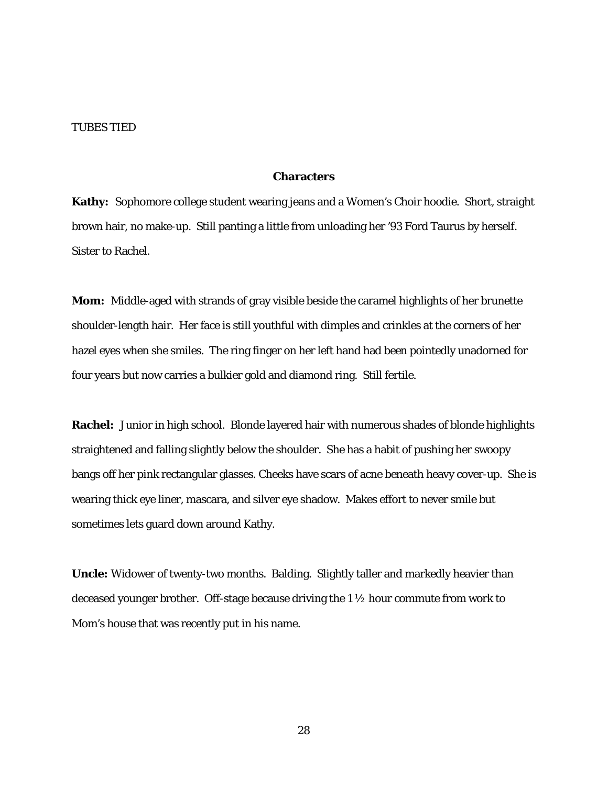#### TUBES TIED

#### **Characters**

**Kathy:** Sophomore college student wearing jeans and a Women's Choir hoodie. Short, straight brown hair, no make-up. Still panting a little from unloading her '93 Ford Taurus by herself. Sister to Rachel.

**Mom:** Middle-aged with strands of gray visible beside the caramel highlights of her brunette shoulder-length hair. Her face is still youthful with dimples and crinkles at the corners of her hazel eyes when she smiles. The ring finger on her left hand had been pointedly unadorned for four years but now carries a bulkier gold and diamond ring. Still fertile.

**Rachel:** Junior in high school. Blonde layered hair with numerous shades of blonde highlights straightened and falling slightly below the shoulder. She has a habit of pushing her swoopy bangs off her pink rectangular glasses. Cheeks have scars of acne beneath heavy cover-up. She is wearing thick eye liner, mascara, and silver eye shadow. Makes effort to never smile but sometimes lets guard down around Kathy.

**Uncle:** Widower of twenty-two months. Balding. Slightly taller and markedly heavier than deceased younger brother. Off-stage because driving the 1 ½ hour commute from work to Mom's house that was recently put in his name.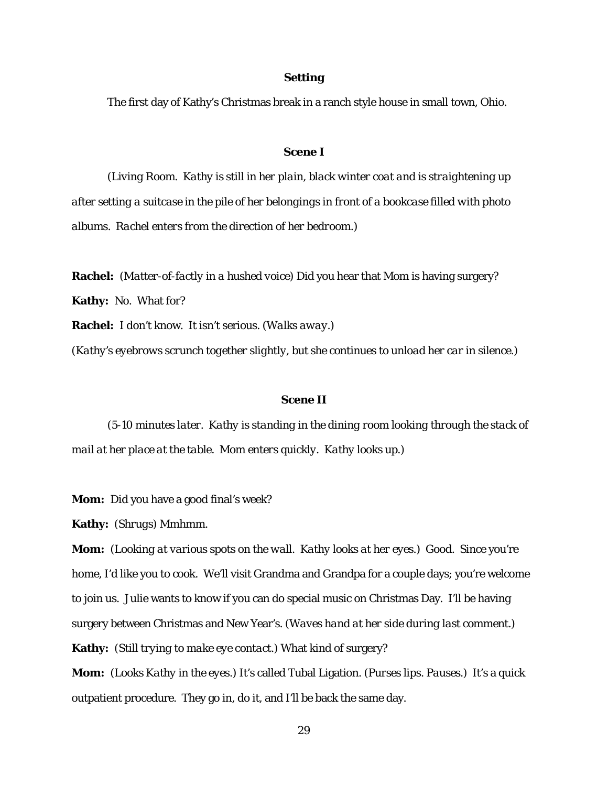#### **Setting**

The first day of Kathy's Christmas break in a ranch style house in small town, Ohio.

#### **Scene I**

*(Living Room. Kathy is still in her plain, black winter coat and is straightening up after setting a suitcase in the pile of her belongings in front of a bookcase filled with photo albums. Rachel enters from the direction of her bedroom.)*

**Rachel:** (*Matter-of-factly in a hushed voice*) Did you hear that Mom is having surgery? **Kathy:** No. What for?

**Rachel:** I don't know. It isn't serious. *(Walks away.)*

*(Kathy's eyebrows scrunch together slightly, but she continues to unload her car in silence.)*

#### **Scene II**

*(5-10 minutes later. Kathy is standing in the dining room looking through the stack of mail at her place at the table. Mom enters quickly. Kathy looks up.)*

**Mom:** Did you have a good final's week?

**Kathy:** *(Shrugs)* Mmhmm.

**Mom:** *(Looking at various spots on the wall. Kathy looks at her eyes.)* Good. Since you're home, I'd like you to cook. We'll visit Grandma and Grandpa for a couple days; you're welcome to join us. Julie wants to know if you can do special music on Christmas Day. I'll be having surgery between Christmas and New Year's. *(Waves hand at her side during last comment.)* **Kathy:** *(Still trying to make eye contact.)* What kind of surgery?

**Mom:** *(Looks Kathy in the eyes.)* It's called Tubal Ligation. *(Purses lips. Pauses.)* It's a quick outpatient procedure. They go in, do it, and I'll be back the same day.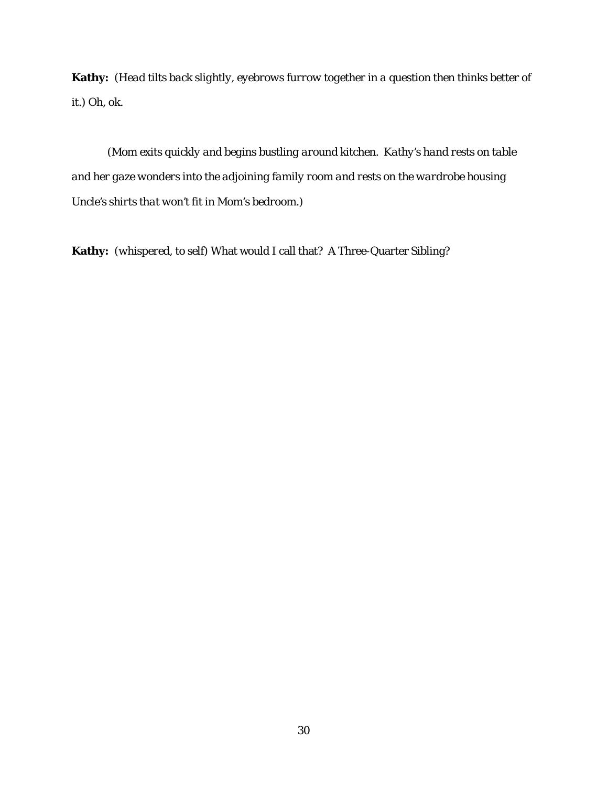**Kathy:** *(Head tilts back slightly, eyebrows furrow together in a question then thinks better of it.)* Oh, ok.

*(Mom exits quickly and begins bustling around kitchen. Kathy's hand rests on table and her gaze wonders into the adjoining family room and rests on the wardrobe housing Uncle's shirts that won't fit in Mom's bedroom.)*

**Kathy:** *(whispered, to self)* What would I call that? A Three-Quarter Sibling?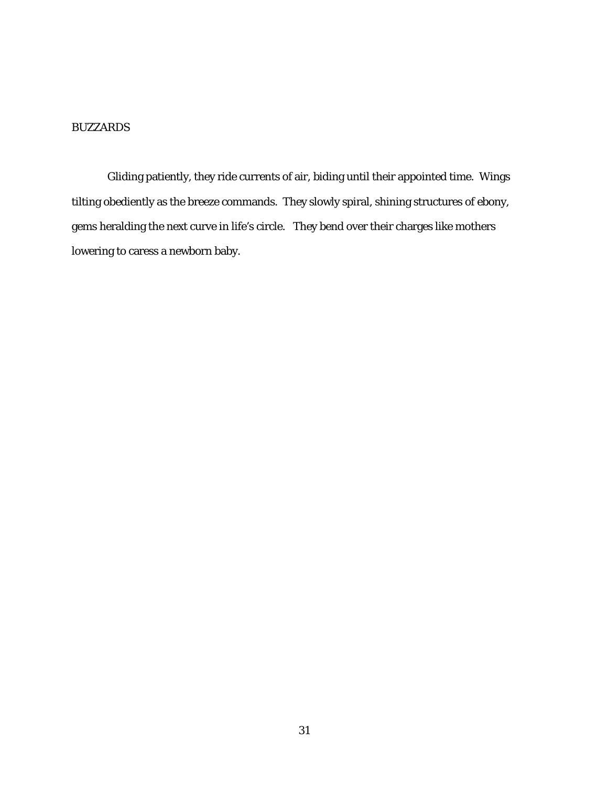# BUZZARDS

Gliding patiently, they ride currents of air, biding until their appointed time. Wings tilting obediently as the breeze commands. They slowly spiral, shining structures of ebony, gems heralding the next curve in life's circle. They bend over their charges like mothers lowering to caress a newborn baby.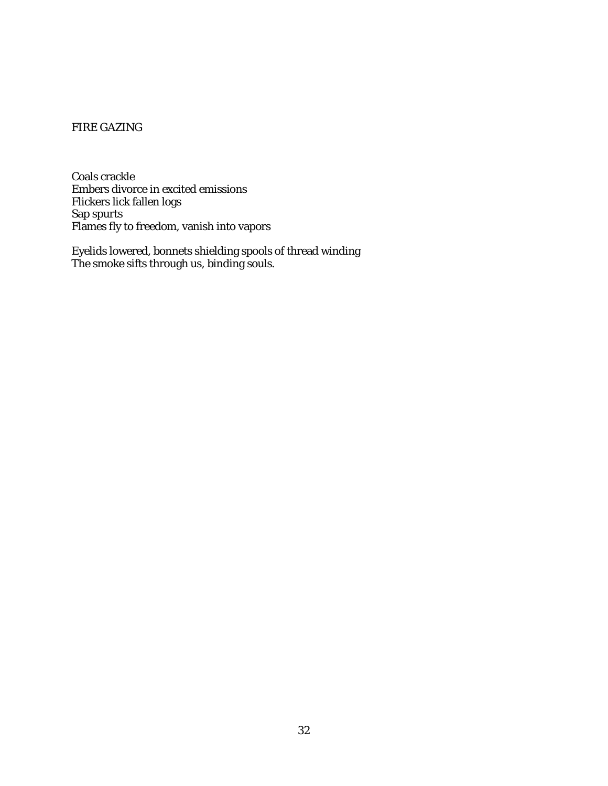# FIRE GAZING

Coals crackle Embers divorce in excited emissions Flickers lick fallen logs Sap spurts Flames fly to freedom, vanish into vapors

Eyelids lowered, bonnets shielding spools of thread winding The smoke sifts through us, binding souls.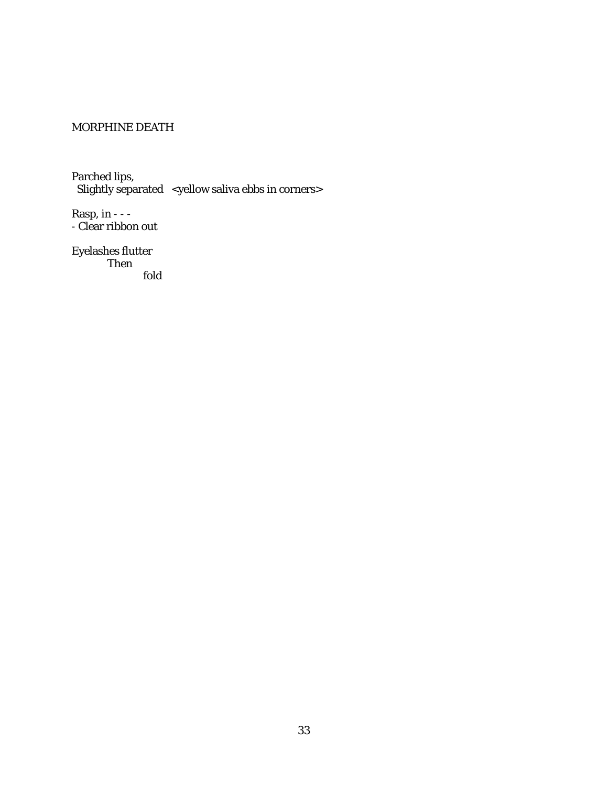# MORPHINE DEATH

Parched lips, Slightly separated <yellow saliva ebbs in corners>

Rasp, in - - - - Clear ribbon out

Eyelashes flutter Then fold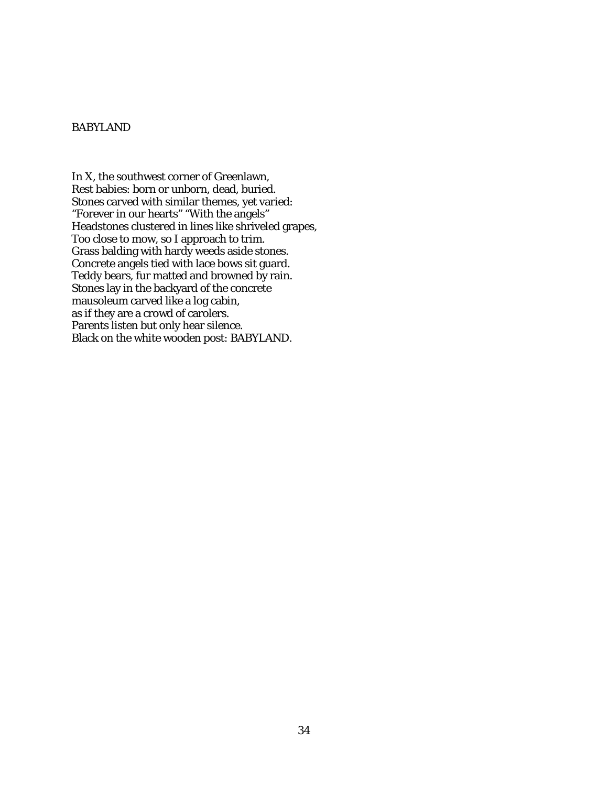# BABYLAND

In X, the southwest corner of Greenlawn, Rest babies: born or unborn, dead, buried. Stones carved with similar themes, yet varied: "Forever in our hearts" "With the angels" Headstones clustered in lines like shriveled grapes, Too close to mow, so I approach to trim. Grass balding with hardy weeds aside stones. Concrete angels tied with lace bows sit guard. Teddy bears, fur matted and browned by rain. Stones lay in the backyard of the concrete mausoleum carved like a log cabin, as if they are a crowd of carolers. Parents listen but only hear silence. Black on the white wooden post: BABYLAND.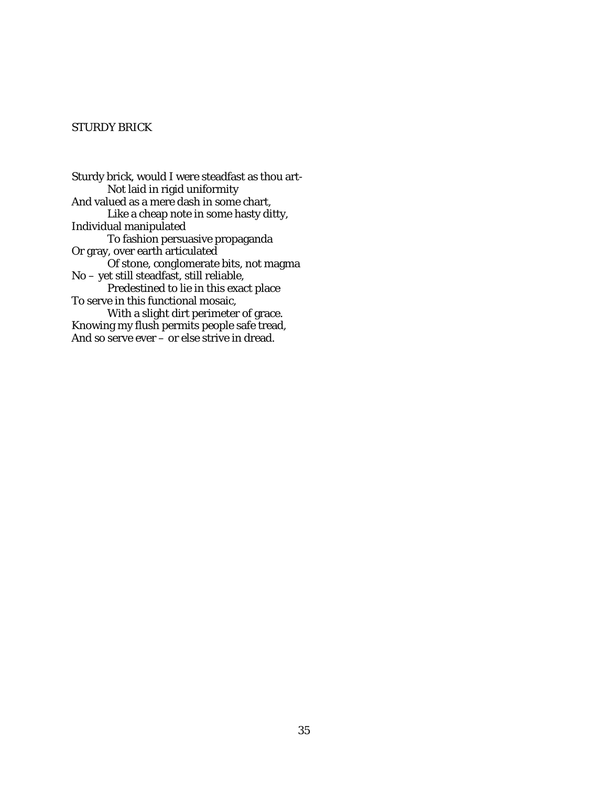# STURDY BRICK

Sturdy brick, would I were steadfast as thou art-Not laid in rigid uniformity And valued as a mere dash in some chart, Like a cheap note in some hasty ditty, Individual manipulated To fashion persuasive propaganda Or gray, over earth articulated Of stone, conglomerate bits, not magma No – yet still steadfast, still reliable, Predestined to lie in this exact place To serve in this functional mosaic, With a slight dirt perimeter of grace. Knowing my flush permits people safe tread, And so serve ever – or else strive in dread.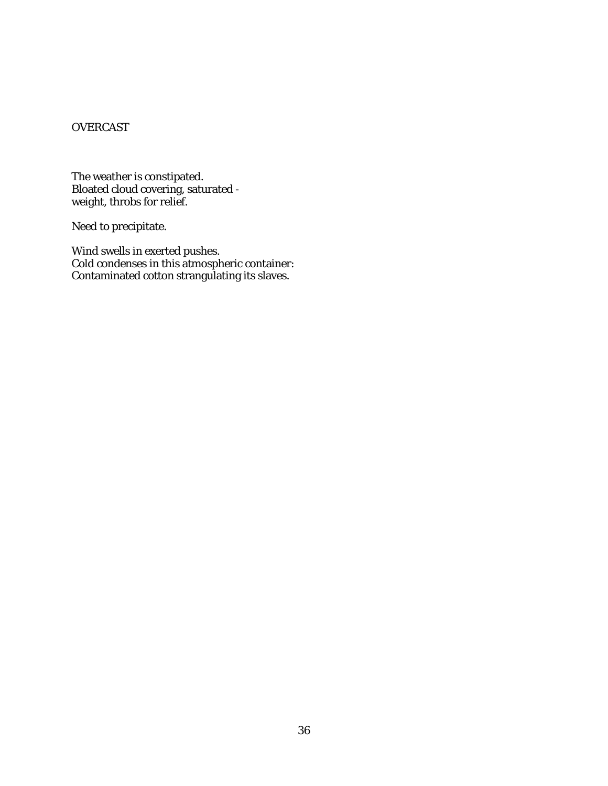# **OVERCAST**

The weather is constipated. Bloated cloud covering, saturated weight, throbs for relief.

Need to precipitate.

Wind swells in exerted pushes. Cold condenses in this atmospheric container: Contaminated cotton strangulating its slaves.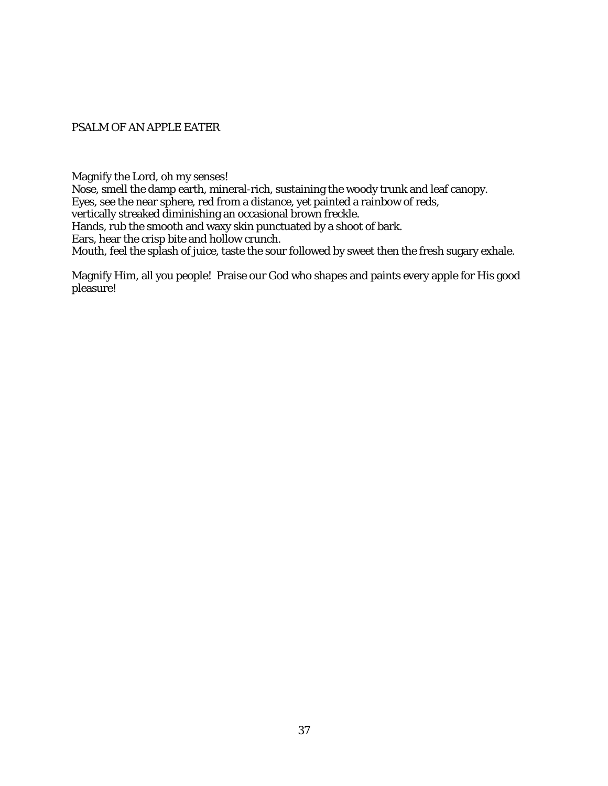PSALM OF AN APPLE EATER

Magnify the Lord, oh my senses!

Nose, smell the damp earth, mineral-rich, sustaining the woody trunk and leaf canopy. Eyes, see the near sphere, red from a distance, yet painted a rainbow of reds, vertically streaked diminishing an occasional brown freckle. Hands, rub the smooth and waxy skin punctuated by a shoot of bark. Ears, hear the crisp bite and hollow crunch.

Mouth, feel the splash of juice, taste the sour followed by sweet then the fresh sugary exhale.

Magnify Him, all you people! Praise our God who shapes and paints every apple for His good pleasure!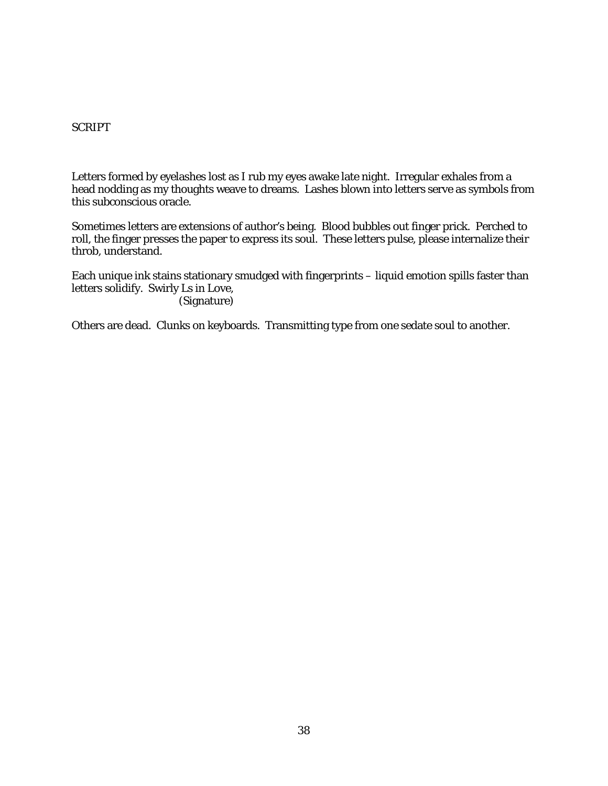# SCRIPT

Letters formed by eyelashes lost as I rub my eyes awake late night. Irregular exhales from a head nodding as my thoughts weave to dreams. Lashes blown into letters serve as symbols from this subconscious oracle.

Sometimes letters are extensions of author's being. Blood bubbles out finger prick. Perched to roll, the finger presses the paper to express its soul. These letters pulse, please internalize their throb, understand.

Each unique ink stains stationary smudged with fingerprints – liquid emotion spills faster than letters solidify. Swirly Ls in Love, (Signature)

Others are dead. Clunks on keyboards. Transmitting type from one sedate soul to another.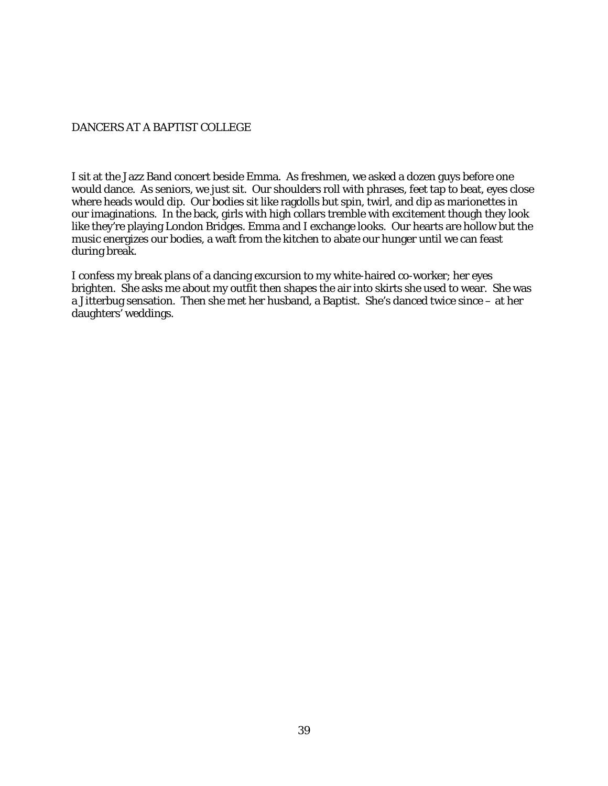# DANCERS AT A BAPTIST COLLEGE

I sit at the Jazz Band concert beside Emma. As freshmen, we asked a dozen guys before one would dance. As seniors, we just sit. Our shoulders roll with phrases, feet tap to beat, eyes close where heads would dip. Our bodies sit like ragdolls but spin, twirl, and dip as marionettes in our imaginations. In the back, girls with high collars tremble with excitement though they look like they're playing London Bridges. Emma and I exchange looks. Our hearts are hollow but the music energizes our bodies, a waft from the kitchen to abate our hunger until we can feast during break.

I confess my break plans of a dancing excursion to my white-haired co-worker; her eyes brighten. She asks me about my outfit then shapes the air into skirts she used to wear. She was a Jitterbug sensation. Then she met her husband, a Baptist. She's danced twice since – at her daughters' weddings.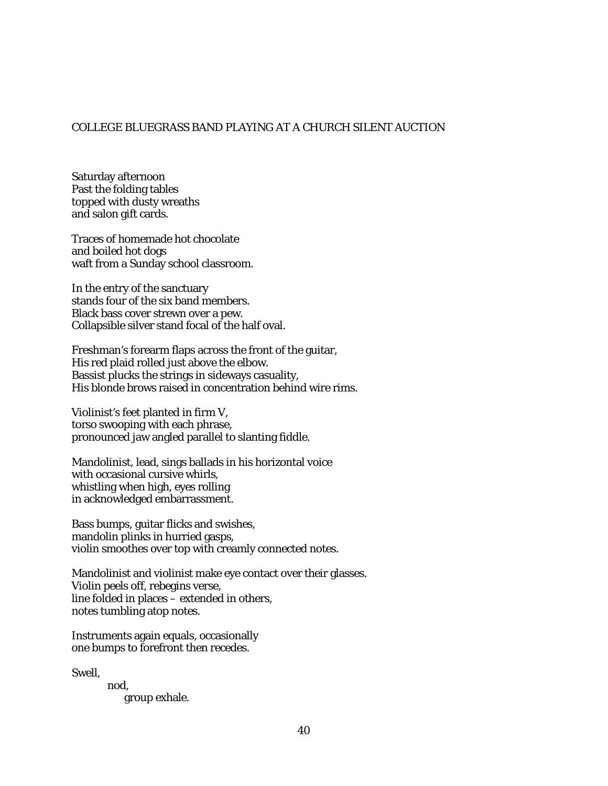### COLLEGE BLUEGRASS BAND PLAYING AT A CHURCH SILENT AUCTION

Saturday afternoon Past the folding tables topped with dusty wreaths and salon gift cards.

Traces of homemade hot chocolate and boiled hot dogs waft from a Sunday school classroom.

In the entry of the sanctuary stands four of the six band members. Black bass cover strewn over a pew. Collapsible silver stand focal of the half oval.

Freshman's forearm flaps across the front of the guitar, His red plaid rolled just above the elbow. Bassist plucks the strings in sideways casuality, His blonde brows raised in concentration behind wire rims.

Violinist's feet planted in firm V, torso swooping with each phrase, pronounced jaw angled parallel to slanting fiddle.

Mandolinist, lead, sings ballads in his horizontal voice with occasional cursive whirls, whistling when high, eyes rolling in acknowledged embarrassment.

Bass bumps, guitar flicks and swishes, mandolin plinks in hurried gasps, violin smoothes over top with creamly connected notes.

Mandolinist and violinist make eye contact over their glasses. Violin peels off, rebegins verse, line folded in places – extended in others, notes tumbling atop notes.

Instruments again equals, occasionally one bumps to forefront then recedes.

Swell,

nod, group exhale.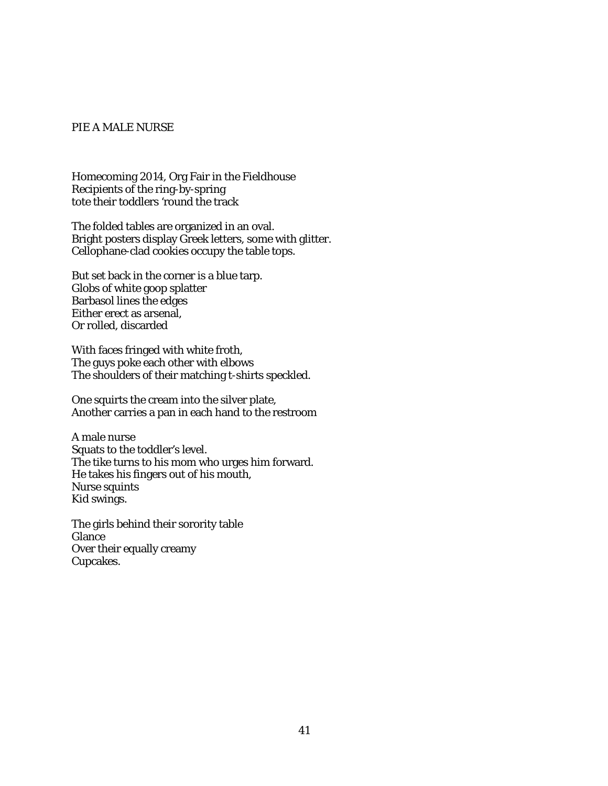#### PIE A MALE NURSE

Homecoming 2014, Org Fair in the Fieldhouse Recipients of the ring-by-spring tote their toddlers 'round the track

The folded tables are organized in an oval. Bright posters display Greek letters, some with glitter. Cellophane-clad cookies occupy the table tops.

But set back in the corner is a blue tarp. Globs of white goop splatter Barbasol lines the edges Either erect as arsenal, Or rolled, discarded

With faces fringed with white froth, The guys poke each other with elbows The shoulders of their matching t-shirts speckled.

One squirts the cream into the silver plate, Another carries a pan in each hand to the restroom

A male nurse Squats to the toddler's level. The tike turns to his mom who urges him forward. He takes his fingers out of his mouth, Nurse squints Kid swings.

The girls behind their sorority table Glance Over their equally creamy Cupcakes.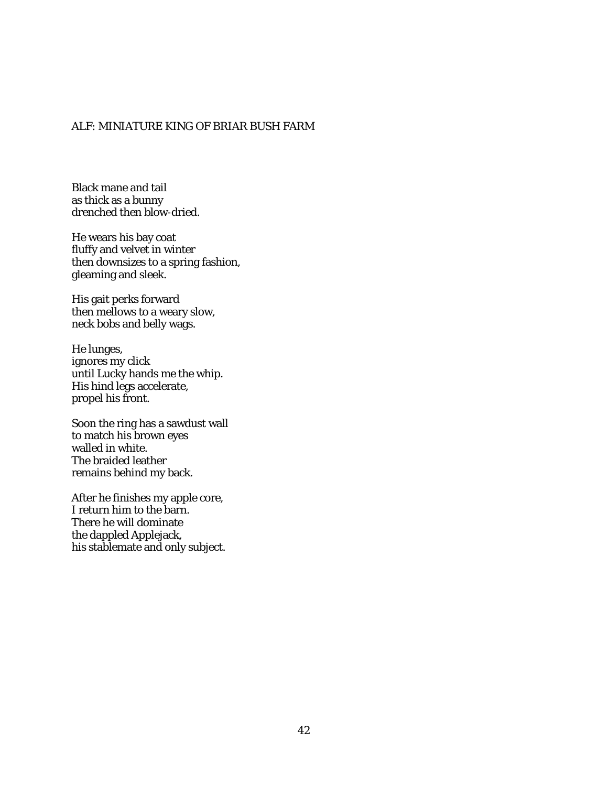# ALF: MINIATURE KING OF BRIAR BUSH FARM

Black mane and tail as thick as a bunny drenched then blow-dried.

He wears his bay coat fluffy and velvet in winter then downsizes to a spring fashion, gleaming and sleek.

His gait perks forward then mellows to a weary slow, neck bobs and belly wags.

He lunges, ignores my click until Lucky hands me the whip. His hind legs accelerate, propel his front.

Soon the ring has a sawdust wall to match his brown eyes walled in white. The braided leather remains behind my back.

After he finishes my apple core, I return him to the barn. There he will dominate the dappled Applejack, his stablemate and only subject.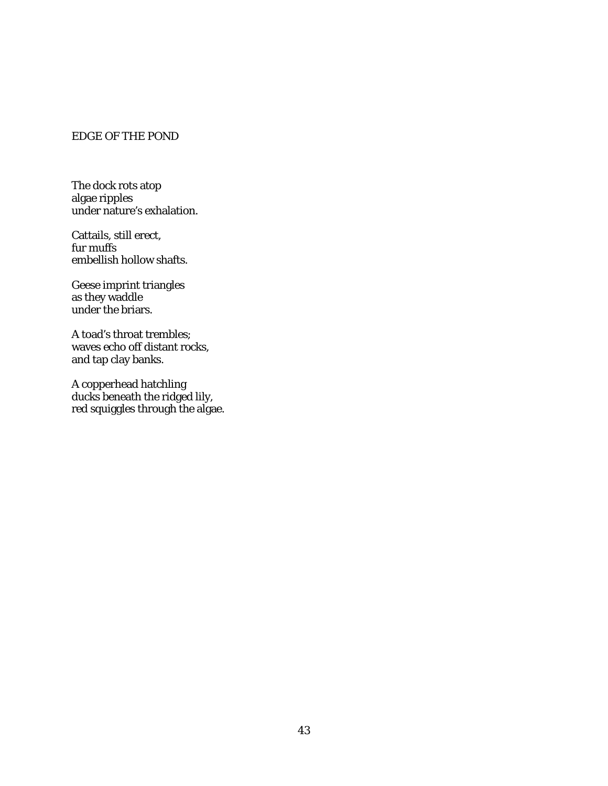# EDGE OF THE POND

The dock rots atop algae ripples under nature's exhalation.

Cattails, still erect, fur muffs embellish hollow shafts.

Geese imprint triangles as they waddle under the briars.

A toad's throat trembles; waves echo off distant rocks, and tap clay banks.

A copperhead hatchling ducks beneath the ridged lily, red squiggles through the algae.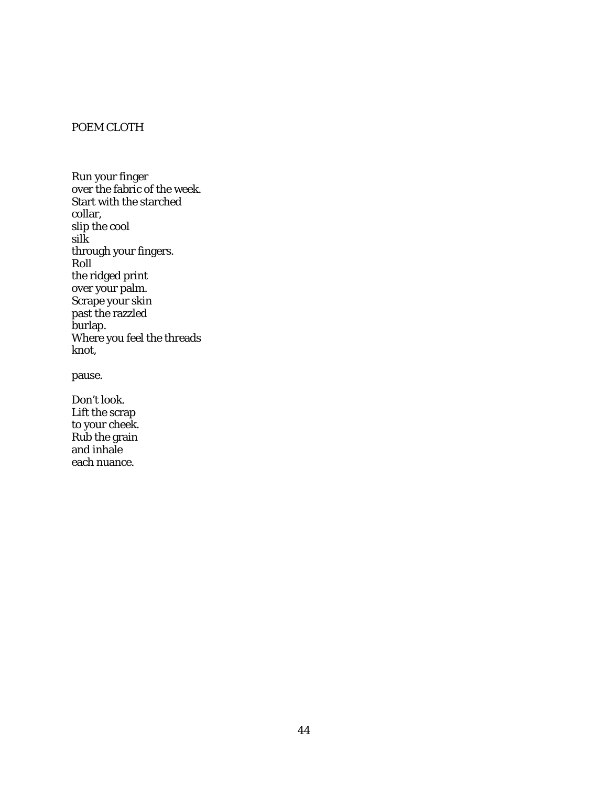# POEM CLOTH

Run your finger over the fabric of the week. Start with the starched collar, slip the cool silk through your fingers. Roll the ridged print over your palm. Scrape your skin past the razzled burlap. Where you feel the threads knot,

pause.

Don't look. Lift the scrap to your cheek. Rub the grain and inhale each nuance.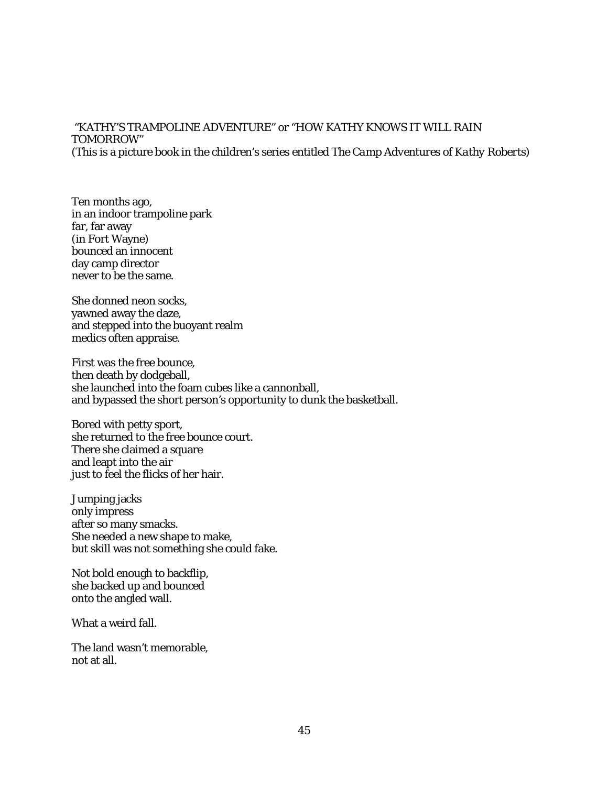### "KATHY'S TRAMPOLINE ADVENTURE" or "HOW KATHY KNOWS IT WILL RAIN TOMORROW" (This is a picture book in the children's series entitled *The Camp Adventures of Kathy Roberts*)

Ten months ago, in an indoor trampoline park far, far away (in Fort Wayne) bounced an innocent day camp director never to be the same.

She donned neon socks, yawned away the daze, and stepped into the buoyant realm medics often appraise.

First was the free bounce, then death by dodgeball, she launched into the foam cubes like a cannonball, and bypassed the short person's opportunity to dunk the basketball.

Bored with petty sport, she returned to the free bounce court. There she claimed a square and leapt into the air just to feel the flicks of her hair.

Jumping jacks only impress after so many smacks. She needed a new shape to make, but skill was not something she could fake.

Not bold enough to backflip, she backed up and bounced onto the angled wall.

What a weird fall.

The land wasn't memorable, not at all.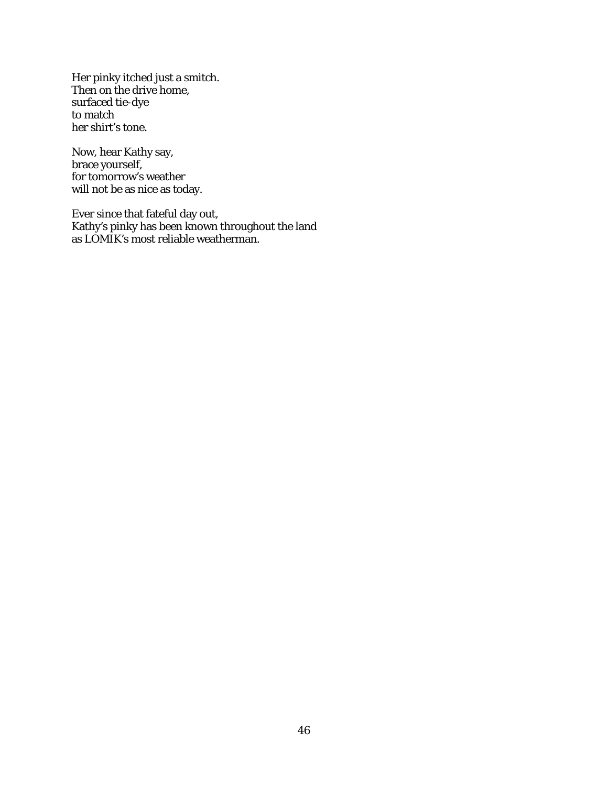Her pinky itched just a smitch. Then on the drive home, surfaced tie-dye to match her shirt's tone.

Now, hear Kathy say, brace yourself, for tomorrow's weather will not be as nice as today.

Ever since that fateful day out, Kathy's pinky has been known throughout the land as LOMIK's most reliable weatherman.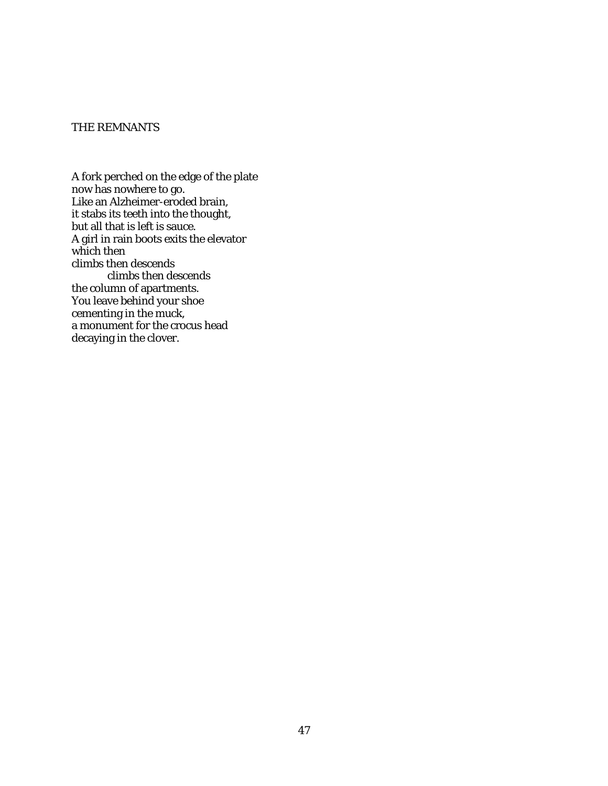### THE REMNANTS

A fork perched on the edge of the plate now has nowhere to go. Like an Alzheimer-eroded brain, it stabs its teeth into the thought, but all that is left is sauce. A girl in rain boots exits the elevator which then climbs then descends climbs then descends the column of apartments. You leave behind your shoe cementing in the muck, a monument for the crocus head decaying in the clover.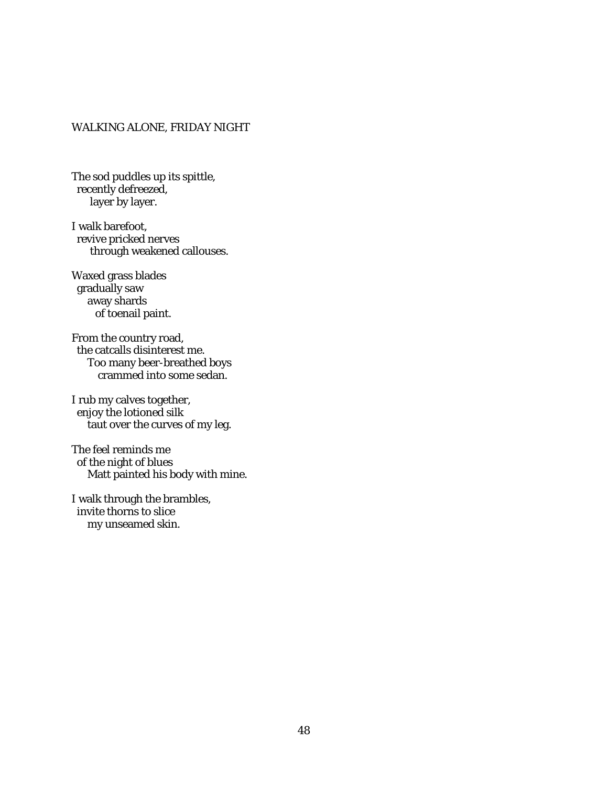# WALKING ALONE, FRIDAY NIGHT

The sod puddles up its spittle, recently defreezed, layer by layer.

I walk barefoot, revive pricked nerves through weakened callouses.

Waxed grass blades gradually saw away shards of toenail paint.

From the country road, the catcalls disinterest me. Too many beer-breathed boys crammed into some sedan.

I rub my calves together, enjoy the lotioned silk taut over the curves of my leg.

The feel reminds me of the night of blues Matt painted his body with mine.

I walk through the brambles, invite thorns to slice my unseamed skin.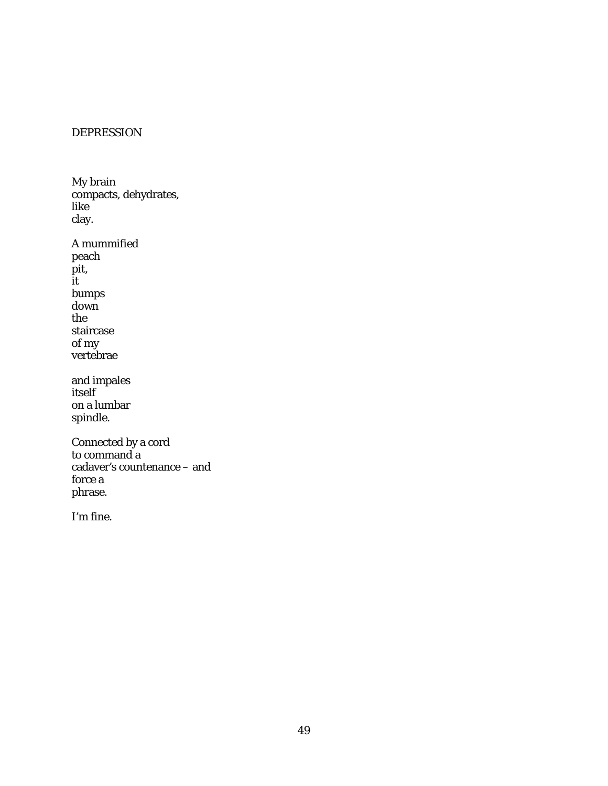# DEPRESSION

My brain compacts, dehydrates, like clay.

A mummified peach pit, it bumps down the staircase of my vertebrae

and impales itself on a lumbar spindle.

Connected by a cord to command a cadaver's countenance – and force a phrase.

I'm fine.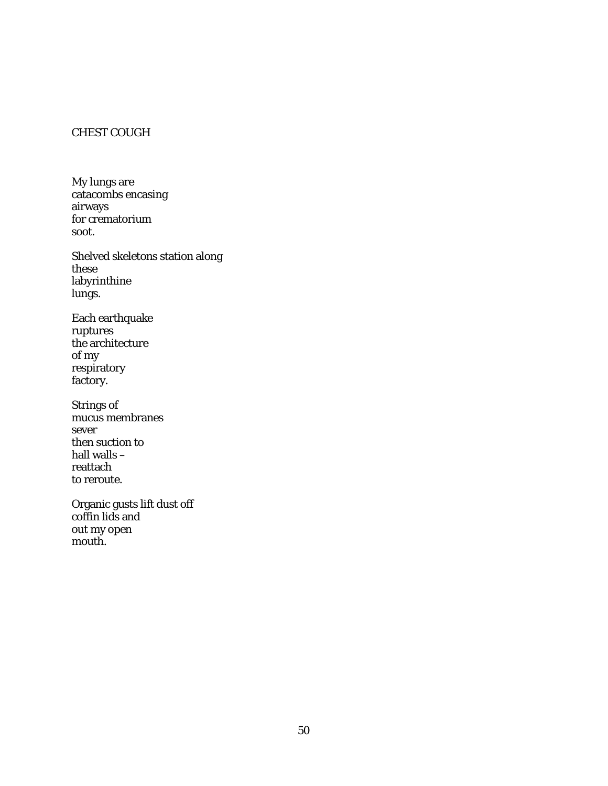# CHEST COUGH

My lungs are catacombs encasing airways for crematorium soot.

Shelved skeletons station along these labyrinthine lungs.

Each earthquake ruptures the architecture of my respiratory factory.

Strings of mucus membranes sever then suction to hall walls – reattach to reroute.

Organic gusts lift dust off coffin lids and out my open mouth.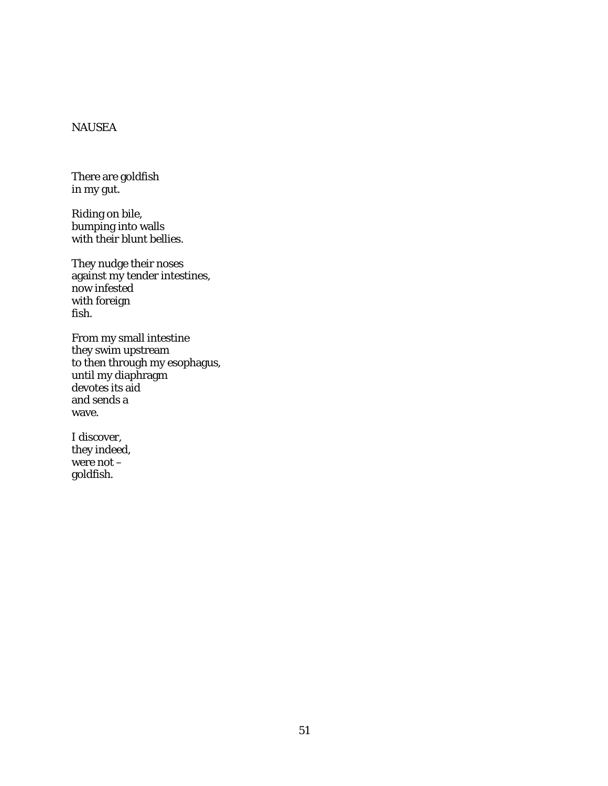# NAUSEA

There are goldfish in my gut.

Riding on bile, bumping into walls with their blunt bellies.

They nudge their noses against my tender intestines, now infested with foreign fish.

From my small intestine they swim upstream to then through my esophagus, until my diaphragm devotes its aid and sends a wave.

I discover, they indeed, were not  $$ goldfish.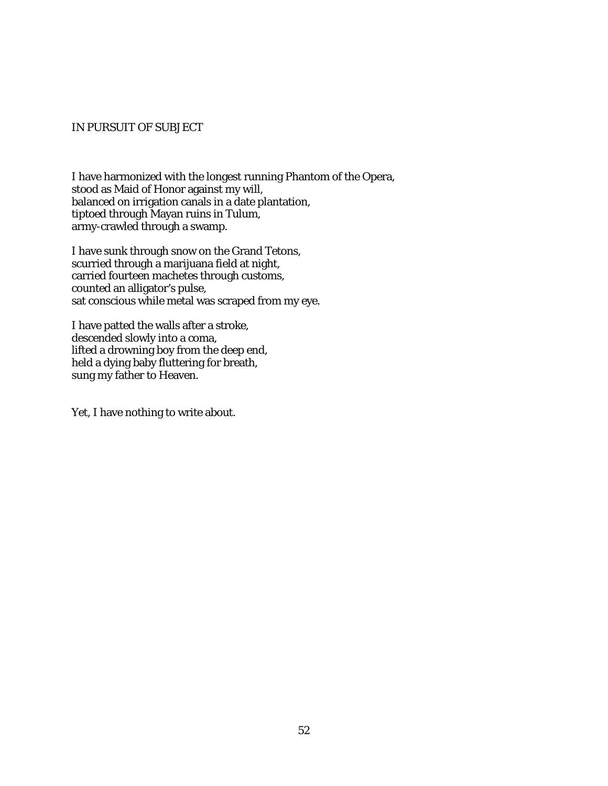### IN PURSUIT OF SUBJECT

I have harmonized with the longest running Phantom of the Opera, stood as Maid of Honor against my will, balanced on irrigation canals in a date plantation, tiptoed through Mayan ruins in Tulum, army-crawled through a swamp.

I have sunk through snow on the Grand Tetons, scurried through a marijuana field at night, carried fourteen machetes through customs, counted an alligator's pulse, sat conscious while metal was scraped from my eye.

I have patted the walls after a stroke, descended slowly into a coma, lifted a drowning boy from the deep end, held a dying baby fluttering for breath, sung my father to Heaven.

Yet, I have nothing to write about.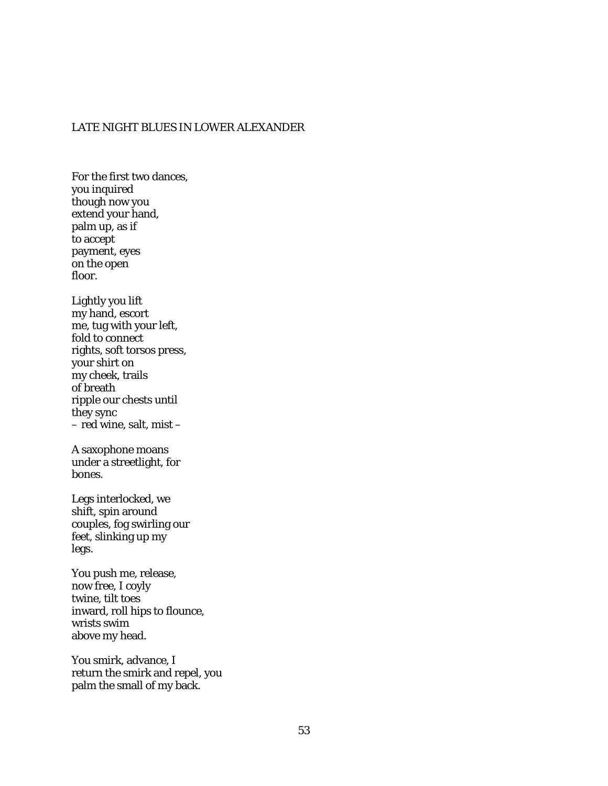# LATE NIGHT BLUES IN LOWER ALEXANDER

For the first two dances, you inquired though now you extend your hand, palm up, as if to accept payment, eyes on the open floor. Lightly you lift my hand, escort me, tug with your left, fold to connect rights, soft torsos press, your shirt on my cheek, trails of breath ripple our chests until they sync – red wine, salt, mist – A saxophone moans under a streetlight, for bones. Legs interlocked, we shift, spin around couples, fog swirling our feet, slinking up my legs. You push me, release, now free, I coyly twine, tilt toes inward, roll hips to flounce, wrists swim above my head.

You smirk, advance, I return the smirk and repel, you palm the small of my back.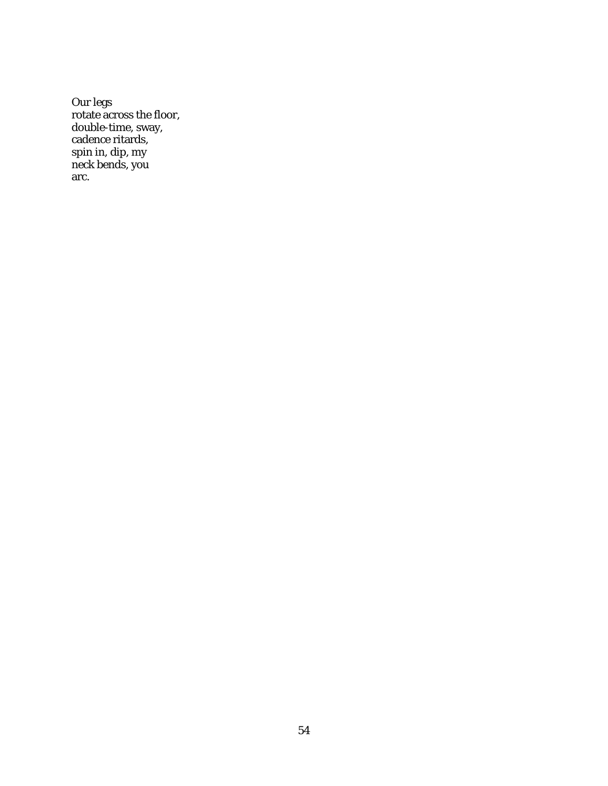Our legs rotate across the floor, double-time, sway, cadence ritards, spin in, dip, my neck bends, you arc.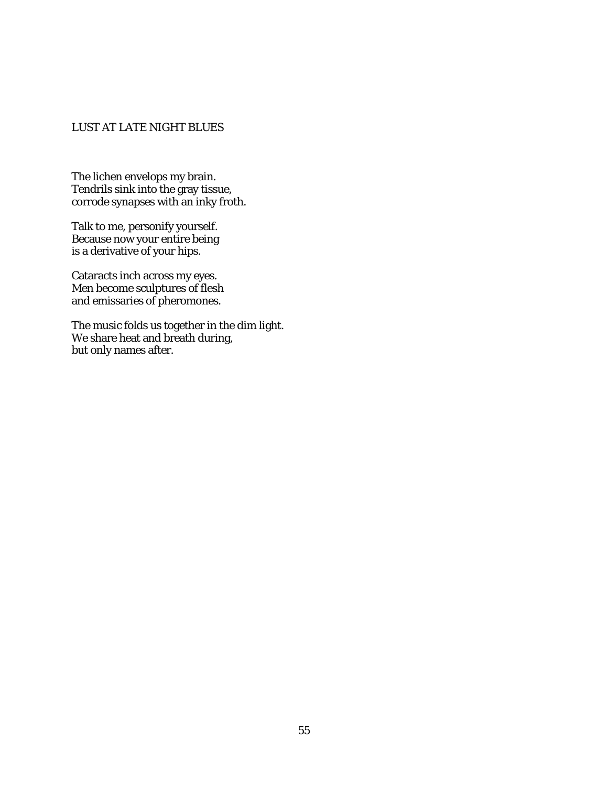# LUST AT LATE NIGHT BLUES

The lichen envelops my brain. Tendrils sink into the gray tissue, corrode synapses with an inky froth.

Talk to me, personify yourself. Because now your entire being is a derivative of your hips.

Cataracts inch across my eyes. Men become sculptures of flesh and emissaries of pheromones.

The music folds us together in the dim light. We share heat and breath during, but only names after.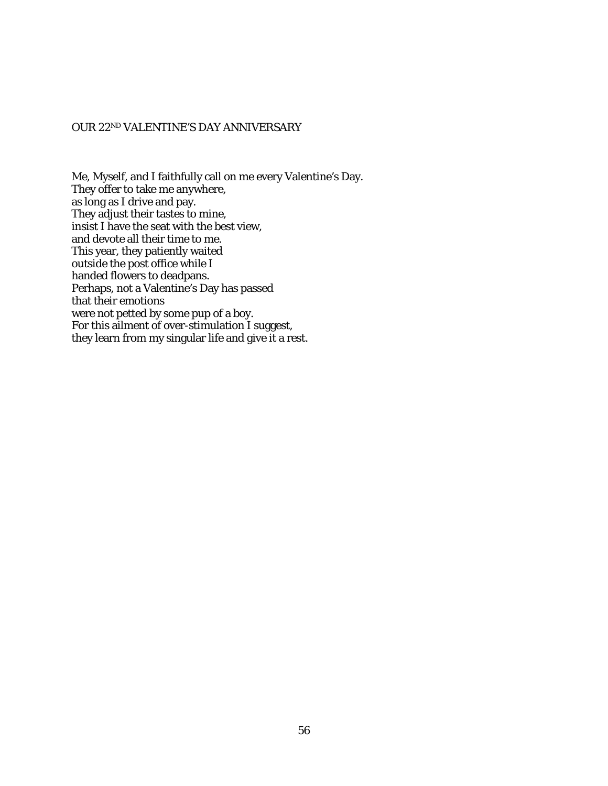### OUR 22ND VALENTINE'S DAY ANNIVERSARY

Me, Myself, and I faithfully call on me every Valentine's Day. They offer to take me anywhere, as long as I drive and pay. They adjust their tastes to mine, insist I have the seat with the best view, and devote all their time to me. This year, they patiently waited outside the post office while I handed flowers to deadpans. Perhaps, not a Valentine's Day has passed that their emotions were not petted by some pup of a boy. For this ailment of over-stimulation I suggest, they learn from my singular life and give it a rest.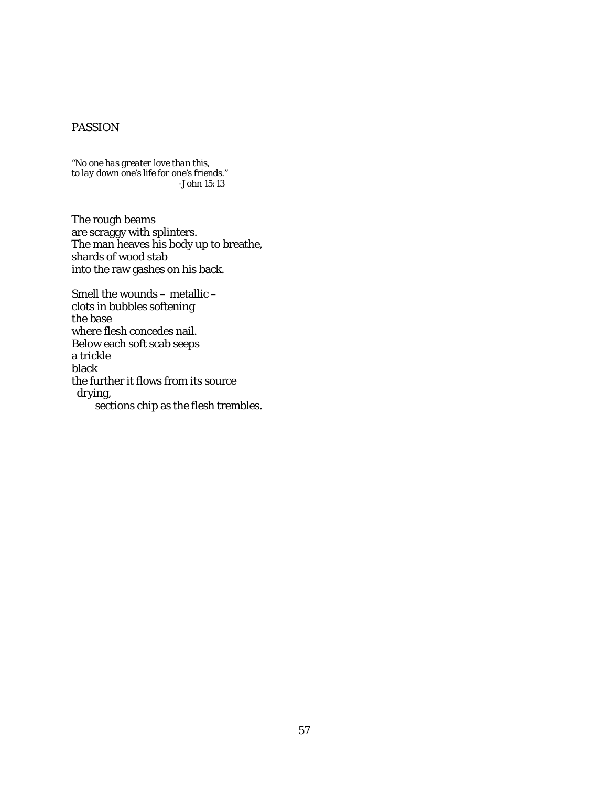# PASSION

*"No one has greater love than this, to lay down one's life for one's friends." -John 15:13*

The rough beams are scraggy with splinters. The man heaves his body up to breathe, shards of wood stab into the raw gashes on his back.

Smell the wounds – metallic – clots in bubbles softening the base where flesh concedes nail. Below each soft scab seeps a trickle black the further it flows from its source drying, sections chip as the flesh trembles.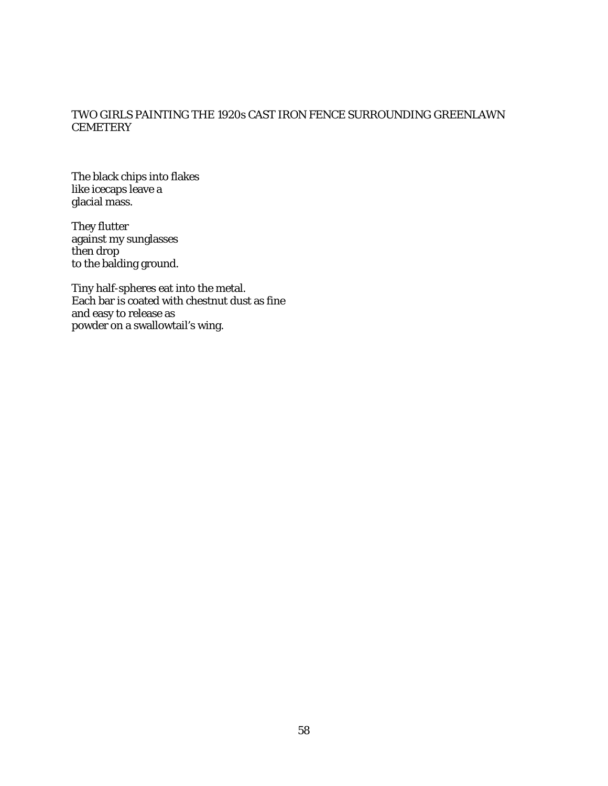## TWO GIRLS PAINTING THE 1920s CAST IRON FENCE SURROUNDING GREENLAWN **CEMETERY**

The black chips into flakes like icecaps leave a glacial mass.

They flutter against my sunglasses then drop to the balding ground.

Tiny half-spheres eat into the metal. Each bar is coated with chestnut dust as fine and easy to release as powder on a swallowtail's wing.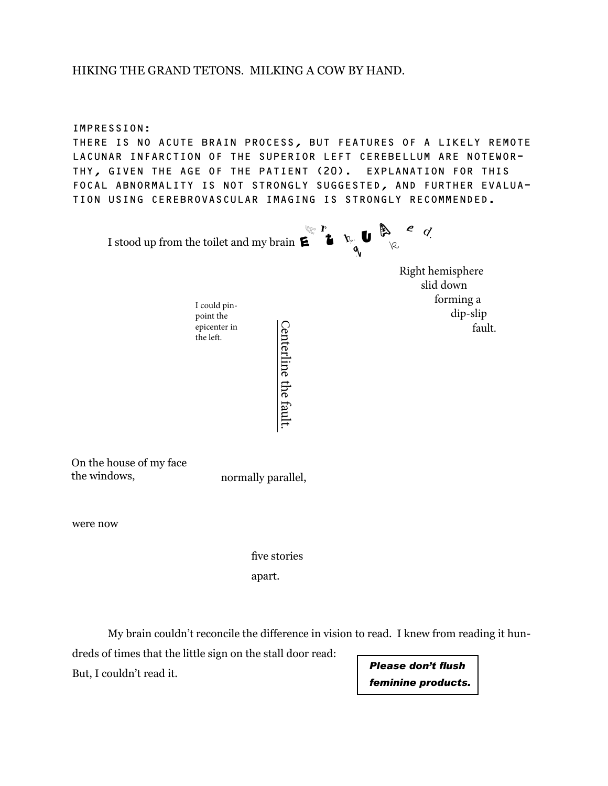## HIKING THE GRAND TETONS. MILKING A COW BY HAND.

IMPRESSION:

THERE IS NO ACUTE BRAIN PROCESS, BUT FEATURES OF A LIKELY REMOTE LACUNAR INFARCTION OF THE SUPERIOR LEFT CEREBELLUM ARE NOTEWOR THY, GIVEN THE AGE OF THE PATIENT (20). EXPLANATION FOR THIS FOCAL ABNORMALITY IS NOT STRONGLY SUGGESTED, AND FURTHER EVALUA TION USING CEREBROVASCULAR IMAGING IS STRONGLY RECOMMENDED.

I stood up from the toilet and my brain  $\boldsymbol{\mathsf{E}}^{\top}$   $\boldsymbol{\mathsf{t}}$  $a \in \mathbb{R}$  $\overline{\varphi}$  $\epsilon$  the  $\mathbf{u}$  $\mathcal{L}$ 

Centerline the fault.

 Right hemisphere slid down forming a point the dip-slip  $\begin{bmatrix} 1 \\ 0 \end{bmatrix}$  fault.

On the house of my face the windows, normally parallel,

I could pinpoint the epicenter in the left.

were now

apart. five stories

My brain couldn't reconcile the difference in vision to read. I knew from reading it hun-

dreds of times that the little sign on the stall door read: But, I couldn't read it.

*Please don't flush feminine products.*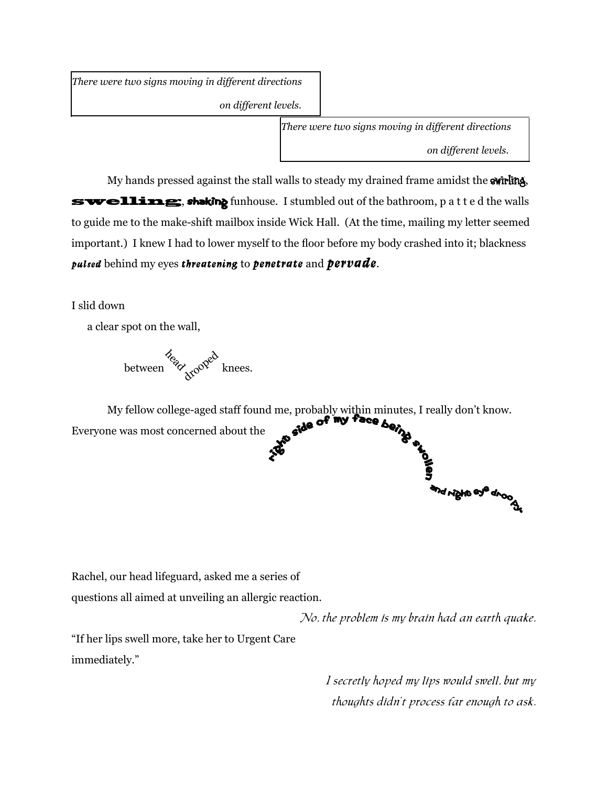*There were two signs moving in different directions*

 *on different levels.*

*There were two signs moving in different directions*

 *on different levels.*

d right eye droop

My hands pressed against the stall walls to steady my drained frame amidst the swirling, swelling, shaking funhouse. I stumbled out of the bathroom, p a t t e d the walls to guide me to the make-shift mailbox inside Wick Hall. (At the time, mailing my letter seemed important.) I knew I had to lower myself to the floor before my body crashed into it; blackness **pulsed** behind my eyes **threatening** to **penetrate** and **pervade**.

I slid down

a clear spot on the wall,

between  $\frac{p}{p}$  knees.

My fellow college-aged staff found me, probably within minutes, I really don't know. Everyone was most concerned about the **Right side of my** 

Rachel, our head lifeguard, asked me a series of

questions all aimed at unveiling an allergic reaction.

No, the problem is my brain had an earth quake.

"If her lips swell more, take her to Urgent Care immediately."

> I secretly hoped my lips would swell, but my thoughts didn't process far enough to ask.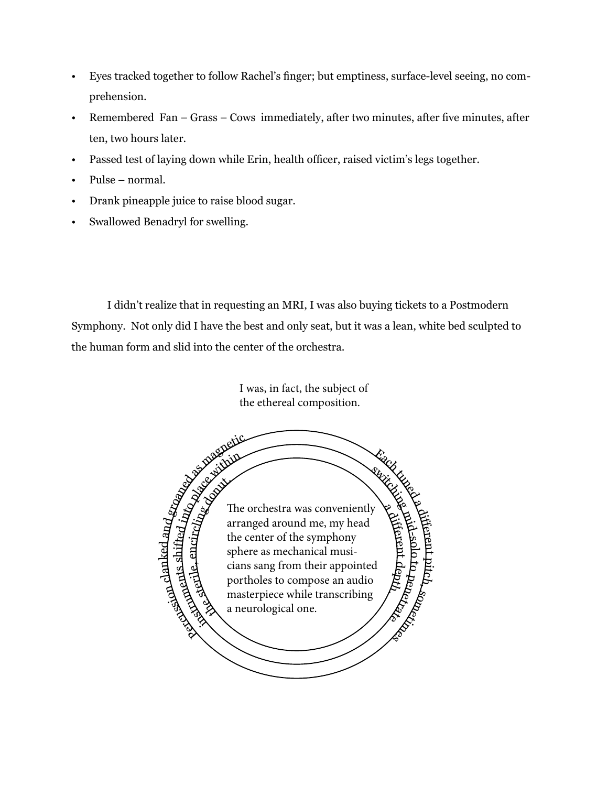- Eyes tracked together to follow Rachel's finger; but emptiness, surface-level seeing, no comprehension.
- Remembered Fan Grass Cows immediately, after two minutes, after five minutes, after ten, two hours later.
- Passed test of laying down while Erin, health officer, raised victim's legs together.
- Pulse normal.
- Drank pineapple juice to raise blood sugar.
- Swallowed Benadryl for swelling.

I didn't realize that in requesting an MRI, I was also buying tickets to a Postmodern Symphony. Not only did I have the best and only seat, but it was a lean, white bed sculpted to the human form and slid into the center of the orchestra.

> I was, in fact, the subject of the ethereal composition.

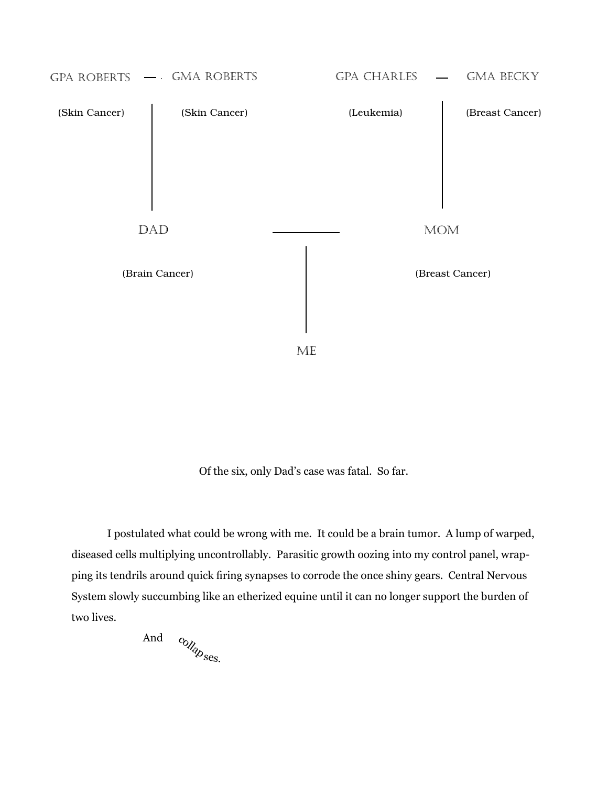

Of the six, only Dad's case was fatal. So far.

I postulated what could be wrong with me. It could be a brain tumor. A lump of warped, diseased cells multiplying uncontrollably. Parasitic growth oozing into my control panel, wrapping its tendrils around quick firing synapses to corrode the once shiny gears. Central Nervous System slowly succumbing like an etherized equine until it can no longer support the burden of two lives.

 And collap<sub>ses.</sub>